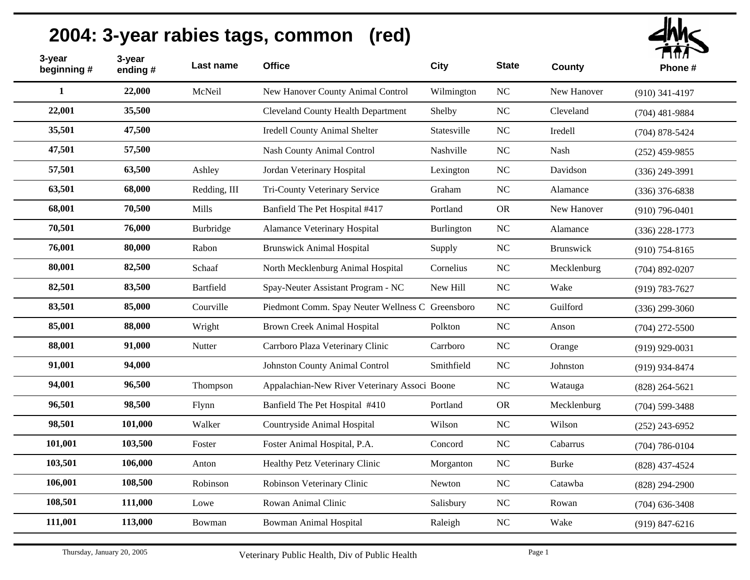| 3-year<br>beginning # | 3-year<br>ending# | Last name    | <b>Office</b>                                    | <b>City</b> | <b>State</b> | <b>County</b> | $\blacksquare$<br>Phone# |
|-----------------------|-------------------|--------------|--------------------------------------------------|-------------|--------------|---------------|--------------------------|
| $\mathbf{1}$          | 22,000            | McNeil       | New Hanover County Animal Control                | Wilmington  | <b>NC</b>    | New Hanover   | $(910)$ 341-4197         |
| 22,001                | 35,500            |              | <b>Cleveland County Health Department</b>        | Shelby      | NC           | Cleveland     | $(704)$ 481-9884         |
| 35,501                | 47,500            |              | <b>Iredell County Animal Shelter</b>             | Statesville | NC           | Iredell       | $(704)$ 878-5424         |
| 47,501                | 57,500            |              | Nash County Animal Control                       | Nashville   | NC           | Nash          | $(252)$ 459-9855         |
| 57,501                | 63,500            | Ashley       | Jordan Veterinary Hospital                       | Lexington   | NC           | Davidson      | $(336)$ 249-3991         |
| 63,501                | 68,000            | Redding, III | Tri-County Veterinary Service                    | Graham      | NC           | Alamance      | $(336)$ 376-6838         |
| 68,001                | 70,500            | Mills        | Banfield The Pet Hospital #417                   | Portland    | <b>OR</b>    | New Hanover   | $(910)$ 796-0401         |
| 70,501                | 76,000            | Burbridge    | Alamance Veterinary Hospital                     | Burlington  | NC           | Alamance      | $(336)$ 228-1773         |
| 76,001                | 80,000            | Rabon        | <b>Brunswick Animal Hospital</b>                 | Supply      | NC           | Brunswick     | $(910)$ 754-8165         |
| 80,001                | 82,500            | Schaaf       | North Mecklenburg Animal Hospital                | Cornelius   | NC           | Mecklenburg   | $(704)$ 892-0207         |
| 82,501                | 83,500            | Bartfield    | Spay-Neuter Assistant Program - NC               | New Hill    | NC           | Wake          | $(919) 783 - 7627$       |
| 83,501                | 85,000            | Courville    | Piedmont Comm. Spay Neuter Wellness C Greensboro |             | NC           | Guilford      | $(336)$ 299-3060         |
| 85,001                | 88,000            | Wright       | <b>Brown Creek Animal Hospital</b>               | Polkton     | <b>NC</b>    | Anson         | $(704)$ 272-5500         |
| 88,001                | 91,000            | Nutter       | Carrboro Plaza Veterinary Clinic                 | Carrboro    | <b>NC</b>    | Orange        | $(919)$ 929-0031         |
| 91,001                | 94,000            |              | <b>Johnston County Animal Control</b>            | Smithfield  | <b>NC</b>    | Johnston      | (919) 934-8474           |
| 94,001                | 96,500            | Thompson     | Appalachian-New River Veterinary Associ Boone    |             | <b>NC</b>    | Watauga       | $(828)$ 264-5621         |
| 96,501                | 98,500            | Flynn        | Banfield The Pet Hospital #410                   | Portland    | <b>OR</b>    | Mecklenburg   | $(704)$ 599-3488         |
| 98,501                | 101,000           | Walker       | Countryside Animal Hospital                      | Wilson      | <b>NC</b>    | Wilson        | $(252)$ 243-6952         |
| 101,001               | 103,500           | Foster       | Foster Animal Hospital, P.A.                     | Concord     | <b>NC</b>    | Cabarrus      | $(704) 786 - 0104$       |
| 103,501               | 106,000           | Anton        | Healthy Petz Veterinary Clinic                   | Morganton   | NC           | <b>Burke</b>  | $(828)$ 437-4524         |
| 106,001               | 108,500           | Robinson     | Robinson Veterinary Clinic                       | Newton      | <b>NC</b>    | Catawba       | $(828) 294 - 2900$       |
| 108,501               | 111,000           | Lowe         | Rowan Animal Clinic                              | Salisbury   | NC           | Rowan         | $(704)$ 636-3408         |
| 111,001               | 113,000           | Bowman       | <b>Bowman Animal Hospital</b>                    | Raleigh     | $\rm NC$     | Wake          | $(919) 847 - 6216$       |
|                       |                   |              |                                                  |             |              |               |                          |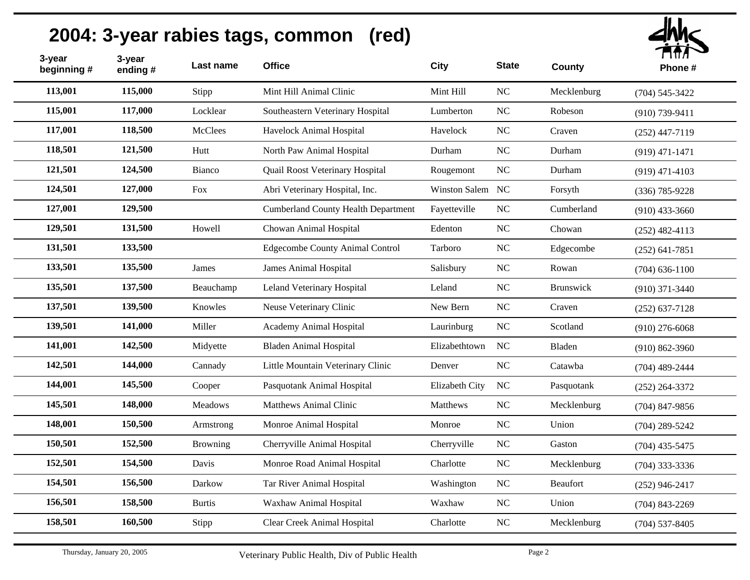| 3-year<br>beginning# | 3-year<br>ending # | Last name       | <b>Office</b>                              | <b>City</b>      | <b>State</b>     | <b>County</b> | ППЛ<br>Phone#      |
|----------------------|--------------------|-----------------|--------------------------------------------|------------------|------------------|---------------|--------------------|
| 113,001              | 115,000            | Stipp           | Mint Hill Animal Clinic                    | Mint Hill        | NC               | Mecklenburg   | $(704) 545 - 3422$ |
| 115,001              | 117,000            | Locklear        | Southeastern Veterinary Hospital           | Lumberton        | NC               | Robeson       | $(910)$ 739-9411   |
| 117,001              | 118,500            | <b>McClees</b>  | Havelock Animal Hospital                   | Havelock         | $\rm NC$         | Craven        | $(252)$ 447-7119   |
| 118,501              | 121,500            | Hutt            | North Paw Animal Hospital                  | Durham           | $\rm NC$         | Durham        | $(919)$ 471-1471   |
| 121,501              | 124,500            | Bianco          | Quail Roost Veterinary Hospital            | Rougemont        | $\rm NC$         | Durham        | $(919)$ 471-4103   |
| 124,501              | 127,000            | Fox             | Abri Veterinary Hospital, Inc.             | Winston Salem NC |                  | Forsyth       | $(336)$ 785-9228   |
| 127,001              | 129,500            |                 | <b>Cumberland County Health Department</b> | Fayetteville     | NC               | Cumberland    | $(910)$ 433-3660   |
| 129,501              | 131,500            | Howell          | Chowan Animal Hospital                     | Edenton          | NC               | Chowan        | $(252)$ 482-4113   |
| 131,501              | 133,500            |                 | <b>Edgecombe County Animal Control</b>     | Tarboro          | $\rm NC$         | Edgecombe     | $(252)$ 641-7851   |
| 133,501              | 135,500            | James           | <b>James Animal Hospital</b>               | Salisbury        | NC               | Rowan         | $(704)$ 636-1100   |
| 135,501              | 137,500            | Beauchamp       | Leland Veterinary Hospital                 | Leland           | $\rm NC$         | Brunswick     | $(910)$ 371-3440   |
| 137,501              | 139,500            | Knowles         | Neuse Veterinary Clinic                    | New Bern         | NC               | Craven        | $(252) 637 - 7128$ |
| 139,501              | 141,000            | Miller          | Academy Animal Hospital                    | Laurinburg       | NC               | Scotland      | $(910)$ 276-6068   |
| 141,001              | 142,500            | Midyette        | <b>Bladen Animal Hospital</b>              | Elizabethtown    | NC               | Bladen        | $(910) 862 - 3960$ |
| 142,501              | 144,000            | Cannady         | Little Mountain Veterinary Clinic          | Denver           | NC               | Catawba       | $(704)$ 489-2444   |
| 144,001              | 145,500            | Cooper          | Pasquotank Animal Hospital                 | Elizabeth City   | NC               | Pasquotank    | $(252)$ 264-3372   |
| 145,501              | 148,000            | <b>Meadows</b>  | <b>Matthews Animal Clinic</b>              | Matthews         | $\rm NC$         | Mecklenburg   | $(704)$ 847-9856   |
| 148,001              | 150,500            | Armstrong       | Monroe Animal Hospital                     | Monroe           | NC               | Union         | $(704)$ 289-5242   |
| 150,501              | 152,500            | <b>Browning</b> | Cherryville Animal Hospital                | Cherryville      | NC               | Gaston        | $(704)$ 435-5475   |
| 152,501              | 154,500            | Davis           | Monroe Road Animal Hospital                | Charlotte        | $\rm NC$         | Mecklenburg   | $(704)$ 333-3336   |
| 154,501              | 156,500            | Darkow          | Tar River Animal Hospital                  | Washington       | $_{\mathrm{NC}}$ | Beaufort      | $(252)$ 946-2417   |
| 156,501              | 158,500            | <b>Burtis</b>   | Waxhaw Animal Hospital                     | Waxhaw           | NC               | Union         | $(704)$ 843-2269   |
| 158,501              | 160,500            | Stipp           | Clear Creek Animal Hospital                | Charlotte        | $\rm NC$         | Mecklenburg   | $(704)$ 537-8405   |
|                      |                    |                 |                                            |                  |                  |               |                    |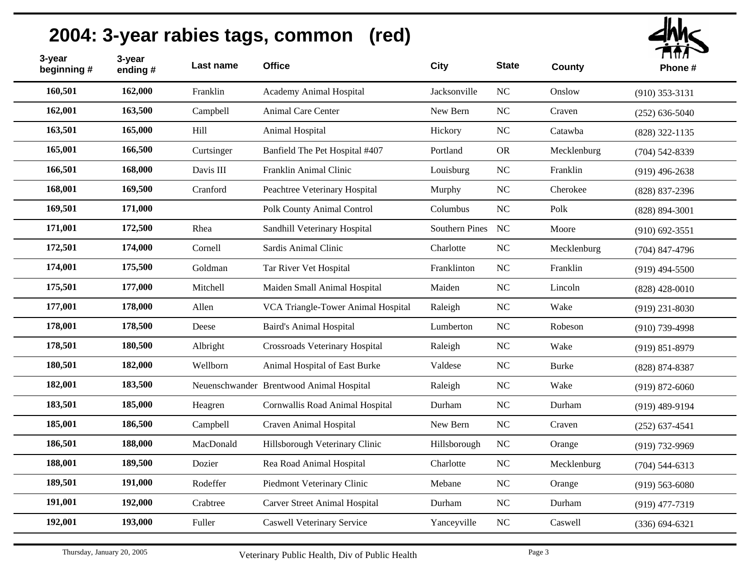| 3-year<br>beginning# | 3-year<br>ending # | Last name  | <b>Office</b>                            | <b>City</b>       | <b>State</b>   | <b>County</b> | T177<br>Phone#     |
|----------------------|--------------------|------------|------------------------------------------|-------------------|----------------|---------------|--------------------|
| 160,501              | 162,000            | Franklin   | Academy Animal Hospital                  | Jacksonville      | NC             | Onslow        | $(910)$ 353-3131   |
| 162,001              | 163,500            | Campbell   | Animal Care Center                       | New Bern          | <b>NC</b>      | Craven        | $(252) 636 - 5040$ |
| 163,501              | 165,000            | Hill       | Animal Hospital                          | Hickory           | N <sub>C</sub> | Catawba       | $(828)$ 322-1135   |
| 165,001              | 166,500            | Curtsinger | Banfield The Pet Hospital #407           | Portland          | <b>OR</b>      | Mecklenburg   | $(704)$ 542-8339   |
| 166,501              | 168,000            | Davis III  | Franklin Animal Clinic                   | Louisburg         | N <sub>C</sub> | Franklin      | $(919)$ 496-2638   |
| 168,001              | 169,500            | Cranford   | Peachtree Veterinary Hospital            | Murphy            | NC             | Cherokee      | $(828)$ 837-2396   |
| 169,501              | 171,000            |            | <b>Polk County Animal Control</b>        | Columbus          | N <sub>C</sub> | Polk          | $(828) 894 - 3001$ |
| 171,001              | 172,500            | Rhea       | Sandhill Veterinary Hospital             | Southern Pines NC |                | Moore         | $(910)$ 692-3551   |
| 172,501              | 174,000            | Cornell    | Sardis Animal Clinic                     | Charlotte         | NC             | Mecklenburg   | $(704)$ 847-4796   |
| 174,001              | 175,500            | Goldman    | Tar River Vet Hospital                   | Franklinton       | N <sub>C</sub> | Franklin      | $(919)$ 494-5500   |
| 175,501              | 177,000            | Mitchell   | Maiden Small Animal Hospital             | Maiden            | N <sub>C</sub> | Lincoln       | $(828)$ 428-0010   |
| 177,001              | 178,000            | Allen      | VCA Triangle-Tower Animal Hospital       | Raleigh           | N <sub>C</sub> | Wake          | $(919)$ 231-8030   |
| 178,001              | 178,500            | Deese      | <b>Baird's Animal Hospital</b>           | Lumberton         | N <sub>C</sub> | Robeson       | $(910)$ 739-4998   |
| 178,501              | 180,500            | Albright   | Crossroads Veterinary Hospital           | Raleigh           | $\rm NC$       | Wake          | $(919) 851 - 8979$ |
| 180,501              | 182,000            | Wellborn   | Animal Hospital of East Burke            | Valdese           | $\rm NC$       | <b>Burke</b>  | $(828) 874 - 8387$ |
| 182,001              | 183,500            |            | Neuenschwander Brentwood Animal Hospital | Raleigh           | NC             | Wake          | $(919) 872 - 6060$ |
| 183,501              | 185,000            | Heagren    | Cornwallis Road Animal Hospital          | Durham            | NC             | Durham        | $(919)$ 489-9194   |
| 185,001              | 186,500            | Campbell   | Craven Animal Hospital                   | New Bern          | NC             | Craven        | $(252)$ 637-4541   |
| 186,501              | 188,000            | MacDonald  | Hillsborough Veterinary Clinic           | Hillsborough      | NC             | Orange        | $(919) 732 - 9969$ |
| 188,001              | 189,500            | Dozier     | Rea Road Animal Hospital                 | Charlotte         | NC             | Mecklenburg   | $(704)$ 544-6313   |
| 189,501              | 191,000            | Rodeffer   | Piedmont Veterinary Clinic               | Mebane            | NC             | Orange        | $(919)$ 563-6080   |
| 191,001              | 192,000            | Crabtree   | <b>Carver Street Animal Hospital</b>     | Durham            | NC             | Durham        | $(919)$ 477-7319   |
| 192,001              | 193,000            | Fuller     | <b>Caswell Veterinary Service</b>        | Yanceyville       | NC             | Caswell       | $(336) 694 - 6321$ |
|                      |                    |            |                                          |                   |                |               |                    |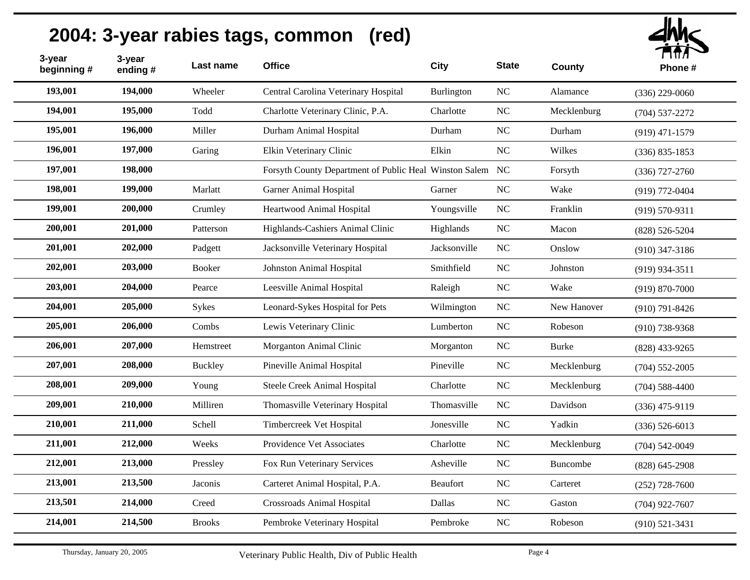| 3-year<br>beginning # | 3-year<br>ending # | Last name     | <b>Office</b>                                             | City            | <b>State</b>   | <b>County</b> | <b>LUTA</b><br>Phone# |
|-----------------------|--------------------|---------------|-----------------------------------------------------------|-----------------|----------------|---------------|-----------------------|
| 193,001               | 194,000            | Wheeler       | Central Carolina Veterinary Hospital                      | Burlington      | NC             | Alamance      | $(336)$ 229-0060      |
| 194,001               | 195,000            | Todd          | Charlotte Veterinary Clinic, P.A.                         | Charlotte       | NC             | Mecklenburg   | $(704)$ 537-2272      |
| 195,001               | 196,000            | Miller        | Durham Animal Hospital                                    | Durham          | NC             | Durham        | $(919)$ 471-1579      |
| 196,001               | 197,000            | Garing        | Elkin Veterinary Clinic                                   | Elkin           | NC             | Wilkes        | $(336) 835 - 1853$    |
| 197,001               | 198,000            |               | Forsyth County Department of Public Heal Winston Salem NC |                 |                | Forsyth       | $(336)$ 727-2760      |
| 198,001               | 199,000            | Marlatt       | <b>Garner Animal Hospital</b>                             | Garner          | <b>NC</b>      | Wake          | $(919) 772 - 0404$    |
| 199,001               | 200,000            | Crumley       | Heartwood Animal Hospital                                 | Youngsville     | N <sub>C</sub> | Franklin      | $(919) 570 - 9311$    |
| 200,001               | 201,000            | Patterson     | Highlands-Cashiers Animal Clinic                          | Highlands       | N <sub>C</sub> | Macon         | $(828) 526 - 5204$    |
| 201,001               | 202,000            | Padgett       | Jacksonville Veterinary Hospital                          | Jacksonville    | N <sub>C</sub> | Onslow        | $(910)$ 347-3186      |
| 202,001               | 203,000            | <b>Booker</b> | Johnston Animal Hospital                                  | Smithfield      | N <sub>C</sub> | Johnston      | $(919)$ 934-3511      |
| 203,001               | 204,000            | Pearce        | Leesville Animal Hospital                                 | Raleigh         | NC             | Wake          | $(919) 870 - 7000$    |
| 204,001               | 205,000            | Sykes         | Leonard-Sykes Hospital for Pets                           | Wilmington      | NC             | New Hanover   | $(910)$ 791-8426      |
| 205,001               | 206,000            | Combs         | Lewis Veterinary Clinic                                   | Lumberton       | NC             | Robeson       | $(910)$ 738-9368      |
| 206,001               | 207,000            | Hemstreet     | Morganton Animal Clinic                                   | Morganton       | NC             | <b>Burke</b>  | $(828)$ 433-9265      |
| 207,001               | 208,000            | Buckley       | Pineville Animal Hospital                                 | Pineville       | $\rm NC$       | Mecklenburg   | $(704)$ 552-2005      |
| 208,001               | 209,000            | Young         | Steele Creek Animal Hospital                              | Charlotte       | $\rm NC$       | Mecklenburg   | $(704)$ 588-4400      |
| 209,001               | 210,000            | Milliren      | Thomasville Veterinary Hospital                           | Thomasville     | NC             | Davidson      | $(336)$ 475-9119      |
| 210,001               | 211,000            | Schell        | Timbercreek Vet Hospital                                  | Jonesville      | NC             | Yadkin        | $(336) 526 - 6013$    |
| 211,001               | 212,000            | Weeks         | Providence Vet Associates                                 | Charlotte       | $\rm NC$       | Mecklenburg   | $(704)$ 542-0049      |
| 212,001               | 213,000            | Pressley      | Fox Run Veterinary Services                               | Asheville       | NC             | Buncombe      | $(828)$ 645-2908      |
| 213,001               | 213,500            | Jaconis       | Carteret Animal Hospital, P.A.                            | <b>Beaufort</b> | NC             | Carteret      | $(252)$ 728-7600      |
| 213,501               | 214,000            | Creed         | <b>Crossroads Animal Hospital</b>                         | Dallas          | NC             | Gaston        | $(704)$ 922-7607      |
| 214,001               | 214,500            | <b>Brooks</b> | Pembroke Veterinary Hospital                              | Pembroke        | NC             | Robeson       | $(910)$ 521-3431      |
|                       |                    |               |                                                           |                 |                |               |                       |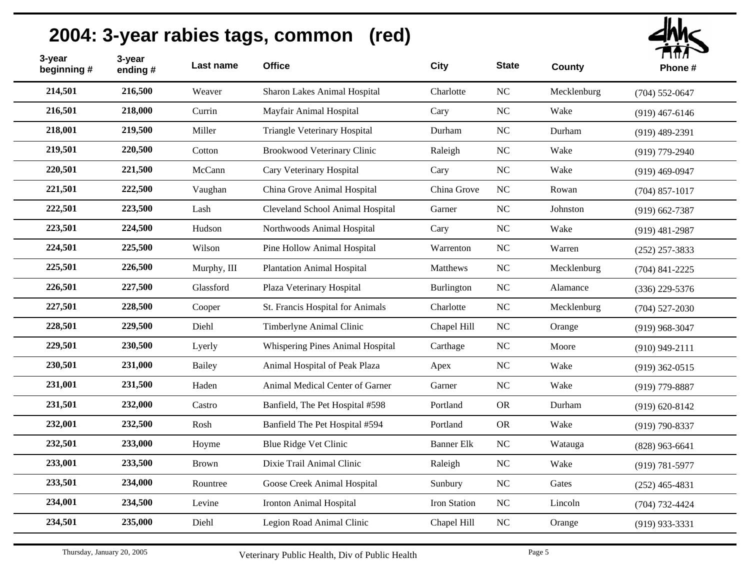| 3-year<br>beginning # | 3-year<br>ending# | Last name     | <b>Office</b>                      | <b>City</b>       | <b>State</b> | County      | ППЛ<br>Phone #     |
|-----------------------|-------------------|---------------|------------------------------------|-------------------|--------------|-------------|--------------------|
| 214,501               | 216,500           | Weaver        | Sharon Lakes Animal Hospital       | Charlotte         | NC           | Mecklenburg | $(704)$ 552-0647   |
| 216,501               | 218,000           | Currin        | Mayfair Animal Hospital            | Cary              | NC           | Wake        | $(919)$ 467-6146   |
| 218,001               | 219,500           | Miller        | Triangle Veterinary Hospital       | Durham            | NC           | Durham      | $(919)$ 489-2391   |
| 219,501               | 220,500           | Cotton        | <b>Brookwood Veterinary Clinic</b> | Raleigh           | $_{\rm NC}$  | Wake        | $(919)$ 779-2940   |
| 220,501               | 221,500           | McCann        | Cary Veterinary Hospital           | Cary              | $_{\rm NC}$  | Wake        | $(919)$ 469-0947   |
| 221,501               | 222,500           | Vaughan       | China Grove Animal Hospital        | China Grove       | $_{\rm NC}$  | Rowan       | $(704)$ 857-1017   |
| 222,501               | 223,500           | Lash          | Cleveland School Animal Hospital   | Garner            | NC           | Johnston    | $(919) 662 - 7387$ |
| 223,501               | 224,500           | Hudson        | Northwoods Animal Hospital         | Cary              | NC           | Wake        | $(919)$ 481-2987   |
| 224,501               | 225,500           | Wilson        | Pine Hollow Animal Hospital        | Warrenton         | NC           | Warren      | $(252)$ 257-3833   |
| 225,501               | 226,500           | Murphy, III   | <b>Plantation Animal Hospital</b>  | Matthews          | $\rm NC$     | Mecklenburg | $(704)$ 841-2225   |
| 226,501               | 227,500           | Glassford     | Plaza Veterinary Hospital          | Burlington        | $\rm NC$     | Alamance    | $(336)$ 229-5376   |
| 227,501               | 228,500           | Cooper        | St. Francis Hospital for Animals   | Charlotte         | $\rm NC$     | Mecklenburg | $(704)$ 527-2030   |
| 228,501               | 229,500           | Diehl         | Timberlyne Animal Clinic           | Chapel Hill       | $_{\rm NC}$  | Orange      | $(919)$ 968-3047   |
| 229,501               | 230,500           | Lyerly        | Whispering Pines Animal Hospital   | Carthage          | $\rm NC$     | Moore       | $(910)$ 949-2111   |
| 230,501               | 231,000           | <b>Bailey</b> | Animal Hospital of Peak Plaza      | Apex              | $_{\rm NC}$  | Wake        | $(919)$ 362-0515   |
| 231,001               | 231,500           | Haden         | Animal Medical Center of Garner    | Garner            | NC           | Wake        | $(919)$ 779-8887   |
| 231,501               | 232,000           | Castro        | Banfield, The Pet Hospital #598    | Portland          | <b>OR</b>    | Durham      | $(919) 620 - 8142$ |
| 232,001               | 232,500           | Rosh          | Banfield The Pet Hospital #594     | Portland          | ${\rm OR}$   | Wake        | $(919) 790 - 8337$ |
| 232,501               | 233,000           | Hoyme         | Blue Ridge Vet Clinic              | <b>Banner Elk</b> | NC           | Watauga     | $(828)$ 963-6641   |
| 233,001               | 233,500           | <b>Brown</b>  | Dixie Trail Animal Clinic          | Raleigh           | $_{\rm NC}$  | Wake        | $(919) 781 - 5977$ |
| 233,501               | 234,000           | Rountree      | Goose Creek Animal Hospital        | Sunbury           | $\rm NC$     | Gates       | $(252)$ 465-4831   |
| 234,001               | 234,500           | Levine        | Ironton Animal Hospital            | Iron Station      | NC           | Lincoln     | $(704) 732 - 4424$ |
| 234,501               | 235,000           | Diehl         | Legion Road Animal Clinic          | Chapel Hill       | $\rm NC$     | Orange      | $(919)$ 933-3331   |
|                       |                   |               |                                    |                   |              |             |                    |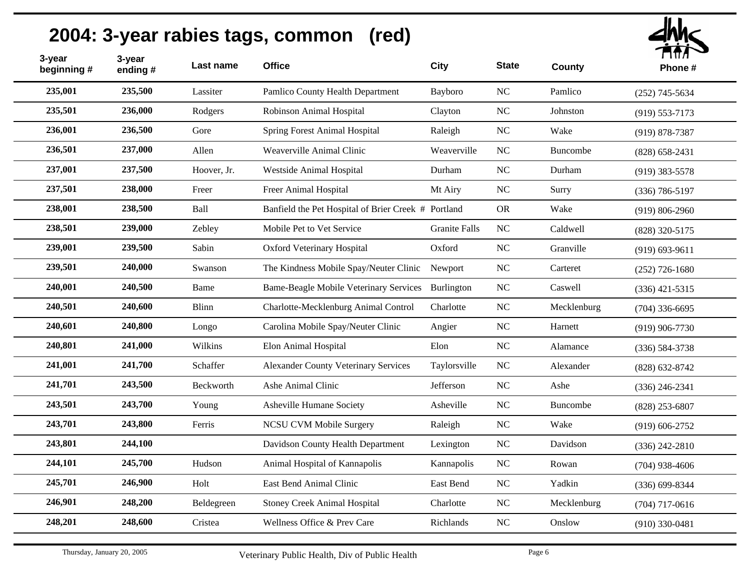| 3-year<br>beginning # | 3-year<br>ending# | Last name   | <b>Office</b>                                       | City                 | <b>State</b>     | County      | $\blacksquare$<br>Phone# |
|-----------------------|-------------------|-------------|-----------------------------------------------------|----------------------|------------------|-------------|--------------------------|
| 235,001               | 235,500           | Lassiter    | Pamlico County Health Department                    | Bayboro              | $\rm NC$         | Pamlico     | $(252)$ 745-5634         |
| 235,501               | 236,000           | Rodgers     | Robinson Animal Hospital                            | Clayton              | NC               | Johnston    | $(919) 553 - 7173$       |
| 236,001               | 236,500           | Gore        | <b>Spring Forest Animal Hospital</b>                | Raleigh              | $\rm NC$         | Wake        | $(919) 878 - 7387$       |
| 236,501               | 237,000           | Allen       | Weaverville Animal Clinic                           | Weaverville          | NC               | Buncombe    | $(828) 658 - 2431$       |
| 237,001               | 237,500           | Hoover, Jr. | Westside Animal Hospital                            | Durham               | $_{\mathrm{NC}}$ | Durham      | $(919)$ 383-5578         |
| 237,501               | 238,000           | Freer       | Freer Animal Hospital                               | Mt Airy              | $\rm NC$         | Surry       | $(336) 786 - 5197$       |
| 238,001               | 238,500           | Ball        | Banfield the Pet Hospital of Brier Creek # Portland |                      | <b>OR</b>        | Wake        | $(919) 806 - 2960$       |
| 238,501               | 239,000           | Zebley      | Mobile Pet to Vet Service                           | <b>Granite Falls</b> | NC               | Caldwell    | (828) 320-5175           |
| 239,001               | 239,500           | Sabin       | <b>Oxford Veterinary Hospital</b>                   | Oxford               | NC               | Granville   | $(919) 693 - 9611$       |
| 239,501               | 240,000           | Swanson     | The Kindness Mobile Spay/Neuter Clinic              | Newport              | $\rm NC$         | Carteret    | $(252)$ 726-1680         |
| 240,001               | 240,500           | Bame        | <b>Bame-Beagle Mobile Veterinary Services</b>       | Burlington           | NC               | Caswell     | $(336)$ 421-5315         |
| 240,501               | 240,600           | Blinn       | Charlotte-Mecklenburg Animal Control                | Charlotte            | $\rm NC$         | Mecklenburg | $(704)$ 336-6695         |
| 240,601               | 240,800           | Longo       | Carolina Mobile Spay/Neuter Clinic                  | Angier               | <b>NC</b>        | Harnett     | $(919)$ 906-7730         |
| 240,801               | 241,000           | Wilkins     | Elon Animal Hospital                                | Elon                 | $\rm NC$         | Alamance    | $(336) 584 - 3738$       |
| 241,001               | 241,700           | Schaffer    | <b>Alexander County Veterinary Services</b>         | Taylorsville         | $\rm NC$         | Alexander   | $(828) 632 - 8742$       |
| 241,701               | 243,500           | Beckworth   | Ashe Animal Clinic                                  | Jefferson            | $\rm NC$         | Ashe        | $(336)$ 246-2341         |
| 243,501               | 243,700           | Young       | Asheville Humane Society                            | Asheville            | <b>NC</b>        | Buncombe    | $(828)$ 253-6807         |
| 243,701               | 243,800           | Ferris      | <b>NCSU CVM Mobile Surgery</b>                      | Raleigh              | $\rm NC$         | Wake        | $(919) 606 - 2752$       |
| 243,801               | 244,100           |             | Davidson County Health Department                   | Lexington            | NC               | Davidson    | $(336)$ 242-2810         |
| 244,101               | 245,700           | Hudson      | Animal Hospital of Kannapolis                       | Kannapolis           | NC               | Rowan       | $(704)$ 938-4606         |
| 245,701               | 246,900           | Holt        | East Bend Animal Clinic                             | East Bend            | NC               | Yadkin      | $(336) 699 - 8344$       |
| 246,901               | 248,200           | Beldegreen  | <b>Stoney Creek Animal Hospital</b>                 | Charlotte            | NC               | Mecklenburg | $(704)$ 717-0616         |
| 248,201               | 248,600           | Cristea     | Wellness Office & Prev Care                         | Richlands            | $\rm NC$         | Onslow      | $(910)$ 330-0481         |
|                       |                   |             |                                                     |                      |                  |             |                          |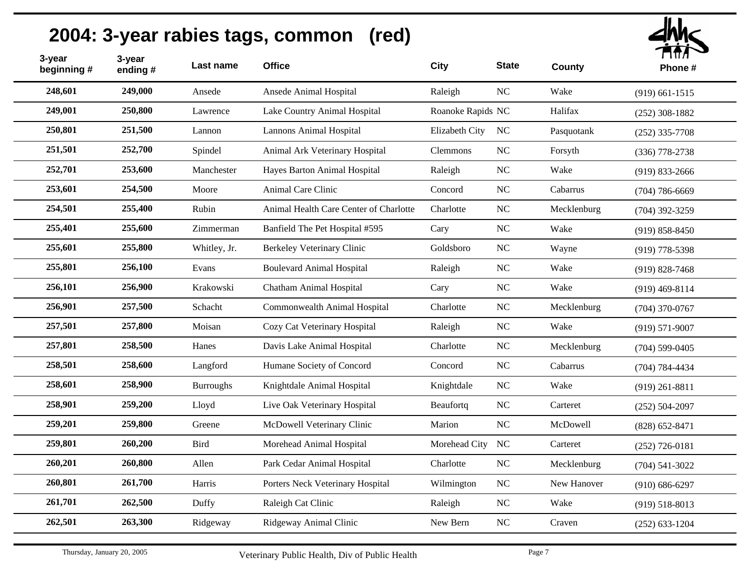| 3-year<br>beginning # | 3-year<br>ending# | Last name        | <b>Office</b>                          | <b>City</b>       | <b>State</b> | County      | ГІШЛ<br>Phone#     |
|-----------------------|-------------------|------------------|----------------------------------------|-------------------|--------------|-------------|--------------------|
| 248,601               | 249,000           | Ansede           | Ansede Animal Hospital                 | Raleigh           | $\rm NC$     | Wake        | $(919) 661 - 1515$ |
| 249,001               | 250,800           | Lawrence         | Lake Country Animal Hospital           | Roanoke Rapids NC |              | Halifax     | $(252)$ 308-1882   |
| 250,801               | 251,500           | Lannon           | <b>Lannons Animal Hospital</b>         | Elizabeth City    | NC           | Pasquotank  | $(252)$ 335-7708   |
| 251,501               | 252,700           | Spindel          | Animal Ark Veterinary Hospital         | Clemmons          | NC           | Forsyth     | $(336)$ 778-2738   |
| 252,701               | 253,600           | Manchester       | Hayes Barton Animal Hospital           | Raleigh           | NC           | Wake        | $(919) 833 - 2666$ |
| 253,601               | 254,500           | Moore            | Animal Care Clinic                     | Concord           | $\rm NC$     | Cabarrus    | $(704) 786 - 6669$ |
| 254,501               | 255,400           | Rubin            | Animal Health Care Center of Charlotte | Charlotte         | NC           | Mecklenburg | $(704)$ 392-3259   |
| 255,401               | 255,600           | Zimmerman        | Banfield The Pet Hospital #595         | Cary              | $_{\rm NC}$  | Wake        | $(919) 858 - 8450$ |
| 255,601               | 255,800           | Whitley, Jr.     | Berkeley Veterinary Clinic             | Goldsboro         | NC           | Wayne       | $(919)$ 778-5398   |
| 255,801               | 256,100           | Evans            | <b>Boulevard Animal Hospital</b>       | Raleigh           | $_{\rm NC}$  | Wake        | $(919) 828 - 7468$ |
| 256,101               | 256,900           | Krakowski        | Chatham Animal Hospital                | Cary              | NC           | Wake        | $(919)$ 469-8114   |
| 256,901               | 257,500           | Schacht          | Commonwealth Animal Hospital           | Charlotte         | $\rm NC$     | Mecklenburg | $(704)$ 370-0767   |
| 257,501               | 257,800           | Moisan           | Cozy Cat Veterinary Hospital           | Raleigh           | NC           | Wake        | $(919) 571 - 9007$ |
| 257,801               | 258,500           | Hanes            | Davis Lake Animal Hospital             | Charlotte         | $_{\rm NC}$  | Mecklenburg | $(704)$ 599-0405   |
| 258,501               | 258,600           | Langford         | Humane Society of Concord              | Concord           | $\rm NC$     | Cabarrus    | $(704) 784 - 4434$ |
| 258,601               | 258,900           | <b>Burroughs</b> | Knightdale Animal Hospital             | Knightdale        | $_{\rm NC}$  | Wake        | $(919)$ 261-8811   |
| 258,901               | 259,200           | Lloyd            | Live Oak Veterinary Hospital           | Beaufortq         | $_{\rm NC}$  | Carteret    | $(252) 504 - 2097$ |
| 259,201               | 259,800           | Greene           | McDowell Veterinary Clinic             | Marion            | NC           | McDowell    | $(828) 652 - 8471$ |
| 259,801               | 260,200           | <b>Bird</b>      | Morehead Animal Hospital               | Morehead City NC  |              | Carteret    | $(252)$ 726-0181   |
| 260,201               | 260,800           | Allen            | Park Cedar Animal Hospital             | Charlotte         | $_{\rm NC}$  | Mecklenburg | $(704) 541 - 3022$ |
| 260,801               | 261,700           | Harris           | Porters Neck Veterinary Hospital       | Wilmington        | $_{\rm NC}$  | New Hanover | $(910) 686 - 6297$ |
| 261,701               | 262,500           | Duffy            | Raleigh Cat Clinic                     | Raleigh           | $_{\rm NC}$  | Wake        | $(919) 518 - 8013$ |
| 262,501               | 263,300           | Ridgeway         | Ridgeway Animal Clinic                 | New Bern          | $\rm NC$     | Craven      | $(252)$ 633-1204   |
|                       |                   |                  |                                        |                   |              |             |                    |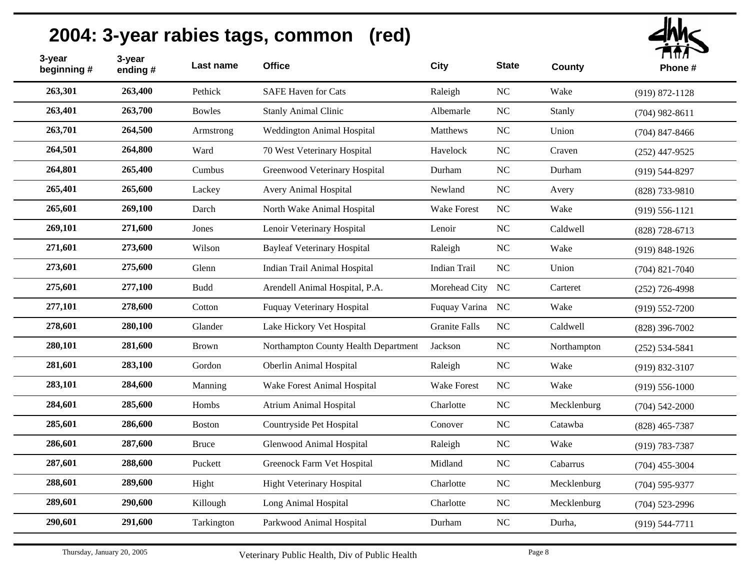

| 3-year<br>beginning # | 3-year<br>ending# | Last name     | <b>Office</b>                        | <b>City</b>          | <b>State</b> | County      | , , , , , ,<br>Phone# |
|-----------------------|-------------------|---------------|--------------------------------------|----------------------|--------------|-------------|-----------------------|
| 263,301               | 263,400           | Pethick       | <b>SAFE Haven for Cats</b>           | Raleigh              | NC           | Wake        | $(919) 872 - 1128$    |
| 263,401               | 263,700           | <b>Bowles</b> | <b>Stanly Animal Clinic</b>          | Albemarle            | <b>NC</b>    | Stanly      | $(704)$ 982-8611      |
| 263,701               | 264,500           | Armstrong     | Weddington Animal Hospital           | Matthews             | NC           | Union       | $(704)$ 847-8466      |
| 264,501               | 264,800           | Ward          | 70 West Veterinary Hospital          | Havelock             | <b>NC</b>    | Craven      | $(252)$ 447-9525      |
| 264,801               | 265,400           | Cumbus        | Greenwood Veterinary Hospital        | Durham               | <b>NC</b>    | Durham      | $(919) 544 - 8297$    |
| 265,401               | 265,600           | Lackey        | Avery Animal Hospital                | Newland              | NC           | Avery       | (828) 733-9810        |
| 265,601               | 269,100           | Darch         | North Wake Animal Hospital           | <b>Wake Forest</b>   | NC           | Wake        | $(919) 556 - 1121$    |
| 269,101               | 271,600           | Jones         | Lenoir Veterinary Hospital           | Lenoir               | NC           | Caldwell    | $(828)$ 728-6713      |
| 271,601               | 273,600           | Wilson        | <b>Bayleaf Veterinary Hospital</b>   | Raleigh              | NC           | Wake        | $(919) 848 - 1926$    |
| 273,601               | 275,600           | Glenn         | Indian Trail Animal Hospital         | <b>Indian Trail</b>  | NC           | Union       | $(704)$ 821-7040      |
| 275,601               | 277,100           | <b>Budd</b>   | Arendell Animal Hospital, P.A.       | Morehead City NC     |              | Carteret    | $(252)$ 726-4998      |
| 277,101               | 278,600           | Cotton        | Fuquay Veterinary Hospital           | Fuquay Varina NC     |              | Wake        | $(919) 552 - 7200$    |
| 278,601               | 280,100           | Glander       | Lake Hickory Vet Hospital            | <b>Granite Falls</b> | NC           | Caldwell    | $(828)$ 396-7002      |
| 280,101               | 281,600           | <b>Brown</b>  | Northampton County Health Department | Jackson              | NC           | Northampton | $(252) 534 - 5841$    |
| 281,601               | 283,100           | Gordon        | Oberlin Animal Hospital              | Raleigh              | <b>NC</b>    | Wake        | $(919) 832 - 3107$    |
| 283,101               | 284,600           | Manning       | Wake Forest Animal Hospital          | Wake Forest          | NC           | Wake        | $(919)$ 556-1000      |
| 284,601               | 285,600           | Hombs         | <b>Atrium Animal Hospital</b>        | Charlotte            | <b>NC</b>    | Mecklenburg | $(704)$ 542-2000      |
| 285,601               | 286,600           | Boston        | Countryside Pet Hospital             | Conover              | NC           | Catawba     | $(828)$ 465-7387      |
| 286,601               | 287,600           | <b>Bruce</b>  | Glenwood Animal Hospital             | Raleigh              | NC           | Wake        | $(919) 783 - 7387$    |
| 287,601               | 288,600           | Puckett       | Greenock Farm Vet Hospital           | Midland              | NC           | Cabarrus    | $(704)$ 455-3004      |
| 288,601               | 289,600           | Hight         | <b>Hight Veterinary Hospital</b>     | Charlotte            | NC           | Mecklenburg | $(704) 595 - 9377$    |
| 289,601               | 290,600           | Killough      | Long Animal Hospital                 | Charlotte            | NC           | Mecklenburg | $(704)$ 523-2996      |
| 290,601               | 291,600           | Tarkington    | Parkwood Animal Hospital             | Durham               | $_{\rm NC}$  | Durha,      | $(919) 544 - 7711$    |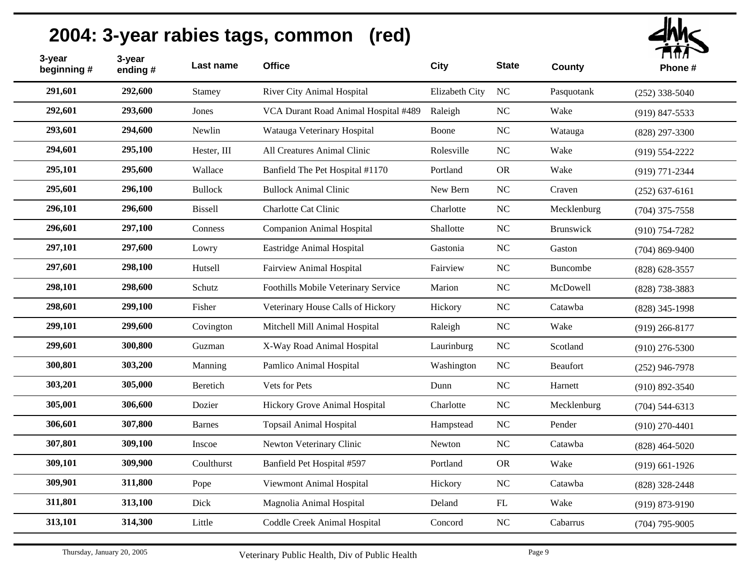| 3-year<br>beginning # | 3-year<br>ending# | Last name      | <b>Office</b>                        | City           | <b>State</b> | County          | $\blacksquare$<br>Phone # |
|-----------------------|-------------------|----------------|--------------------------------------|----------------|--------------|-----------------|---------------------------|
| 291,601               | 292,600           | Stamey         | River City Animal Hospital           | Elizabeth City | NC           | Pasquotank      | $(252)$ 338-5040          |
| 292,601               | 293,600           | Jones          | VCA Durant Road Animal Hospital #489 | Raleigh        | NC           | Wake            | $(919)$ 847-5533          |
| 293,601               | 294,600           | Newlin         | Watauga Veterinary Hospital          | Boone          | $_{\rm NC}$  | Watauga         | $(828)$ 297-3300          |
| 294,601               | 295,100           | Hester, III    | All Creatures Animal Clinic          | Rolesville     | NC           | Wake            | $(919) 554 - 2222$        |
| 295,101               | 295,600           | Wallace        | Banfield The Pet Hospital #1170      | Portland       | <b>OR</b>    | Wake            | $(919) 771 - 2344$        |
| 295,601               | 296,100           | <b>Bullock</b> | <b>Bullock Animal Clinic</b>         | New Bern       | NC           | Craven          | $(252) 637-6161$          |
| 296,101               | 296,600           | <b>Bissell</b> | Charlotte Cat Clinic                 | Charlotte      | NC           | Mecklenburg     | $(704)$ 375-7558          |
| 296,601               | 297,100           | Conness        | <b>Companion Animal Hospital</b>     | Shallotte      | NC           | Brunswick       | $(910) 754 - 7282$        |
| 297,101               | 297,600           | Lowry          | Eastridge Animal Hospital            | Gastonia       | NC           | Gaston          | $(704)$ 869-9400          |
| 297,601               | 298,100           | Hutsell        | Fairview Animal Hospital             | Fairview       | NC           | <b>Buncombe</b> | $(828) 628 - 3557$        |
| 298,101               | 298,600           | Schutz         | Foothills Mobile Veterinary Service  | Marion         | NC           | McDowell        | $(828)$ 738-3883          |
| 298,601               | 299,100           | Fisher         | Veterinary House Calls of Hickory    | Hickory        | NC           | Catawba         | $(828)$ 345-1998          |
| 299,101               | 299,600           | Covington      | Mitchell Mill Animal Hospital        | Raleigh        | NC           | Wake            | $(919)$ 266-8177          |
| 299,601               | 300,800           | Guzman         | X-Way Road Animal Hospital           | Laurinburg     | <b>NC</b>    | Scotland        | $(910)$ 276-5300          |
| 300,801               | 303,200           | Manning        | Pamlico Animal Hospital              | Washington     | NC           | <b>Beaufort</b> | $(252)$ 946-7978          |
| 303,201               | 305,000           | Beretich       | Vets for Pets                        | Dunn           | NC           | Harnett         | $(910) 892 - 3540$        |
| 305,001               | 306,600           | Dozier         | Hickory Grove Animal Hospital        | Charlotte      | NC           | Mecklenburg     | $(704)$ 544-6313          |
| 306,601               | 307,800           | <b>Barnes</b>  | <b>Topsail Animal Hospital</b>       | Hampstead      | NC           | Pender          | $(910)$ 270-4401          |
| 307,801               | 309,100           | Inscoe         | Newton Veterinary Clinic             | Newton         | $_{\rm NC}$  | Catawba         | $(828)$ 464-5020          |
| 309,101               | 309,900           | Coulthurst     | Banfield Pet Hospital #597           | Portland       | <b>OR</b>    | Wake            | $(919)$ 661-1926          |
| 309,901               | 311,800           | Pope           | Viewmont Animal Hospital             | Hickory        | NC           | Catawba         | $(828)$ 328-2448          |
| 311,801               | 313,100           | Dick           | Magnolia Animal Hospital             | Deland         | FL           | Wake            | $(919) 873 - 9190$        |
| 313,101               | 314,300           | Little         | Coddle Creek Animal Hospital         | Concord        | $\rm NC$     | Cabarrus        | $(704)$ 795-9005          |
|                       |                   |                |                                      |                |              |                 |                           |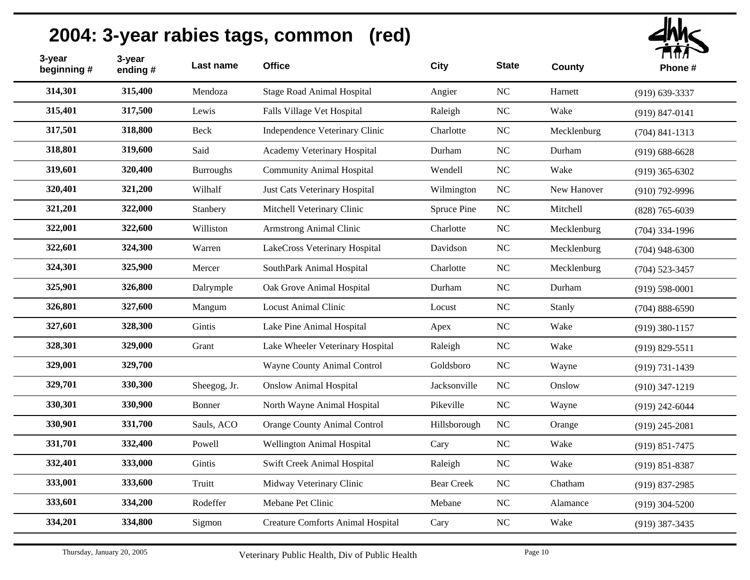| 3-year<br>beginning # | 3-year<br>ending# | Last name        | <b>Office</b>                            | <b>City</b>       | <b>State</b> | County      | ГІПЛ<br>Phone#     |
|-----------------------|-------------------|------------------|------------------------------------------|-------------------|--------------|-------------|--------------------|
| 314,301               | 315,400           | Mendoza          | <b>Stage Road Animal Hospital</b>        | Angier            | NC           | Harnett     | $(919) 639 - 3337$ |
| 315,401               | 317,500           | Lewis            | Falls Village Vet Hospital               | Raleigh           | $\rm NC$     | Wake        | $(919) 847 - 0141$ |
| 317,501               | 318,800           | Beck             | Independence Veterinary Clinic           | Charlotte         | NC           | Mecklenburg | $(704)$ 841-1313   |
| 318,801               | 319,600           | Said             | Academy Veterinary Hospital              | Durham            | NC           | Durham      | $(919) 688 - 6628$ |
| 319,601               | 320,400           | <b>Burroughs</b> | <b>Community Animal Hospital</b>         | Wendell           | NC           | Wake        | $(919)$ 365-6302   |
| 320,401               | 321,200           | Wilhalf          | Just Cats Veterinary Hospital            | Wilmington        | NC           | New Hanover | $(910)$ 792-9996   |
| 321,201               | 322,000           | Stanbery         | Mitchell Veterinary Clinic               | Spruce Pine       | NC           | Mitchell    | $(828)$ 765-6039   |
| 322,001               | 322,600           | Williston        | Armstrong Animal Clinic                  | Charlotte         | NC           | Mecklenburg | $(704)$ 334-1996   |
| 322,601               | 324,300           | Warren           | LakeCross Veterinary Hospital            | Davidson          | $\rm NC$     | Mecklenburg | $(704)$ 948-6300   |
| 324,301               | 325,900           | Mercer           | SouthPark Animal Hospital                | Charlotte         | NC           | Mecklenburg | $(704)$ 523-3457   |
| 325,901               | 326,800           | Dalrymple        | Oak Grove Animal Hospital                | Durham            | NC           | Durham      | $(919) 598 - 0001$ |
| 326,801               | 327,600           | Mangum           | <b>Locust Animal Clinic</b>              | Locust            | $\rm NC$     | Stanly      | $(704) 888 - 6590$ |
| 327,601               | 328,300           | Gintis           | Lake Pine Animal Hospital                | Apex              | NC           | Wake        | $(919)$ 380-1157   |
| 328,301               | 329,000           | Grant            | Lake Wheeler Veterinary Hospital         | Raleigh           | $\rm NC$     | Wake        | $(919) 829 - 5511$ |
| 329,001               | 329,700           |                  | Wayne County Animal Control              | Goldsboro         | $\rm NC$     | Wayne       | $(919) 731 - 1439$ |
| 329,701               | 330,300           | Sheegog, Jr.     | <b>Onslow Animal Hospital</b>            | Jacksonville      | NC           | Onslow      | $(910)$ 347-1219   |
| 330,301               | 330,900           | Bonner           | North Wayne Animal Hospital              | Pikeville         | $\rm NC$     | Wayne       | $(919)$ 242-6044   |
| 330,901               | 331,700           | Sauls, ACO       | <b>Orange County Animal Control</b>      | Hillsborough      | NC           | Orange      | $(919)$ 245-2081   |
| 331,701               | 332,400           | Powell           | Wellington Animal Hospital               | Cary              | $\rm NC$     | Wake        | $(919) 851 - 7475$ |
| 332,401               | 333,000           | Gintis           | Swift Creek Animal Hospital              | Raleigh           | $\rm NC$     | Wake        | $(919) 851 - 8387$ |
| 333,001               | 333,600           | Truitt           | Midway Veterinary Clinic                 | <b>Bear Creek</b> | NC           | Chatham     | $(919) 837 - 2985$ |
| 333,601               | 334,200           | Rodeffer         | Mebane Pet Clinic                        | Mebane            | NC           | Alamance    | $(919)$ 304-5200   |
| 334,201               | 334,800           | Sigmon           | <b>Creature Comforts Animal Hospital</b> | Cary              | $\rm NC$     | Wake        | $(919)$ 387-3435   |
|                       |                   |                  |                                          |                   |              |             |                    |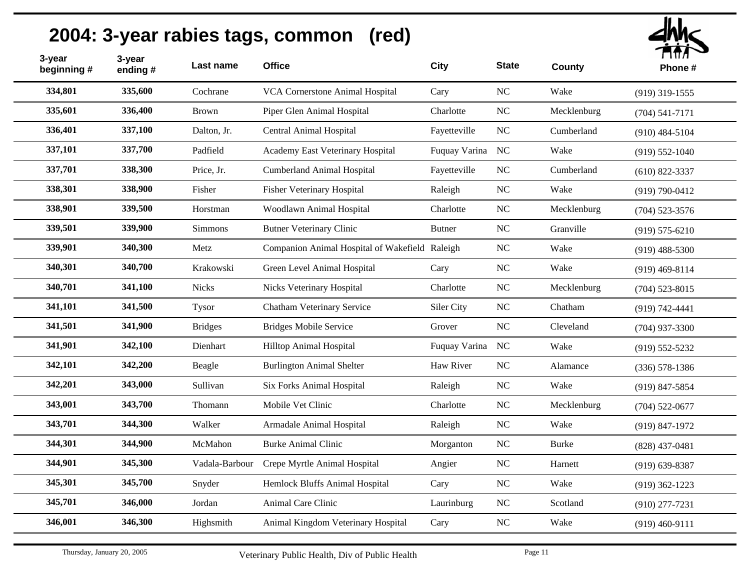| 3-year<br>beginning # | 3-year<br>ending# | Last name      | <b>Office</b>                                  | <b>City</b>      | <b>State</b> | County       | ППЛ<br>Phone#      |
|-----------------------|-------------------|----------------|------------------------------------------------|------------------|--------------|--------------|--------------------|
| 334,801               | 335,600           | Cochrane       | VCA Cornerstone Animal Hospital                | Cary             | $\rm NC$     | Wake         | $(919)$ 319-1555   |
| 335,601               | 336,400           | <b>Brown</b>   | Piper Glen Animal Hospital                     | Charlotte        | NC           | Mecklenburg  | $(704) 541 - 7171$ |
| 336,401               | 337,100           | Dalton, Jr.    | Central Animal Hospital                        | Fayetteville     | $\rm NC$     | Cumberland   | $(910)$ 484-5104   |
| 337,101               | 337,700           | Padfield       | Academy East Veterinary Hospital               | Fuquay Varina NC |              | Wake         | $(919) 552 - 1040$ |
| 337,701               | 338,300           | Price, Jr.     | <b>Cumberland Animal Hospital</b>              | Fayetteville     | NC           | Cumberland   | $(610)$ 822-3337   |
| 338,301               | 338,900           | Fisher         | <b>Fisher Veterinary Hospital</b>              | Raleigh          | NC           | Wake         | $(919) 790 - 0412$ |
| 338,901               | 339,500           | Horstman       | Woodlawn Animal Hospital                       | Charlotte        | NC           | Mecklenburg  | $(704)$ 523-3576   |
| 339,501               | 339,900           | <b>Simmons</b> | <b>Butner Veterinary Clinic</b>                | <b>Butner</b>    | NC           | Granville    | $(919) 575 - 6210$ |
| 339,901               | 340,300           | Metz           | Companion Animal Hospital of Wakefield Raleigh |                  | NC           | Wake         | $(919)$ 488-5300   |
| 340,301               | 340,700           | Krakowski      | Green Level Animal Hospital                    | Cary             | NC           | Wake         | $(919)$ 469-8114   |
| 340,701               | 341,100           | <b>Nicks</b>   | Nicks Veterinary Hospital                      | Charlotte        | NC           | Mecklenburg  | $(704)$ 523-8015   |
| 341,101               | 341,500           | Tysor          | Chatham Veterinary Service                     | Siler City       | NC           | Chatham      | $(919) 742 - 4441$ |
| 341,501               | 341,900           | <b>Bridges</b> | <b>Bridges Mobile Service</b>                  | Grover           | NC           | Cleveland    | $(704)$ 937-3300   |
| 341,901               | 342,100           | Dienhart       | Hilltop Animal Hospital                        | Fuquay Varina    | NC           | Wake         | $(919) 552 - 5232$ |
| 342,101               | 342,200           | Beagle         | <b>Burlington Animal Shelter</b>               | Haw River        | NC           | Alamance     | $(336)$ 578-1386   |
| 342,201               | 343,000           | Sullivan       | <b>Six Forks Animal Hospital</b>               | Raleigh          | $\rm NC$     | Wake         | (919) 847-5854     |
| 343,001               | 343,700           | Thomann        | Mobile Vet Clinic                              | Charlotte        | $\rm NC$     | Mecklenburg  | $(704)$ 522-0677   |
| 343,701               | 344,300           | Walker         | Armadale Animal Hospital                       | Raleigh          | $\rm NC$     | Wake         | $(919) 847 - 1972$ |
| 344,301               | 344,900           | McMahon        | <b>Burke Animal Clinic</b>                     | Morganton        | $\rm NC$     | <b>Burke</b> | $(828)$ 437-0481   |
| 344,901               | 345,300           | Vadala-Barbour | Crepe Myrtle Animal Hospital                   | Angier           | NC           | Harnett      | $(919)$ 639-8387   |
| 345,301               | 345,700           | Snyder         | Hemlock Bluffs Animal Hospital                 | Cary             | NC           | Wake         | $(919)$ 362-1223   |
| 345,701               | 346,000           | Jordan         | Animal Care Clinic                             | Laurinburg       | NC           | Scotland     | $(910)$ 277-7231   |
| 346,001               | 346,300           | Highsmith      | Animal Kingdom Veterinary Hospital             | Cary             | $\rm NC$     | Wake         | $(919)$ 460-9111   |
|                       |                   |                |                                                |                  |              |              |                    |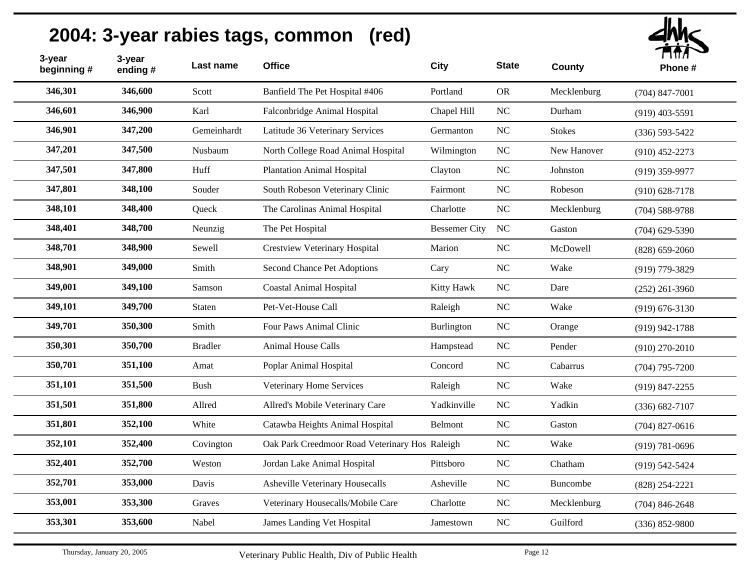| 3-year<br>beginning # | 3-year<br>ending# | Last name      | <b>Office</b>                                  | <b>City</b>          | <b>State</b>     | County        | <b>TIAN</b><br>Phone# |
|-----------------------|-------------------|----------------|------------------------------------------------|----------------------|------------------|---------------|-----------------------|
| 346,301               | 346,600           | Scott          | Banfield The Pet Hospital #406                 | Portland             | <b>OR</b>        | Mecklenburg   | $(704)$ 847-7001      |
| 346,601               | 346,900           | Karl           | Falconbridge Animal Hospital                   | Chapel Hill          | NC               | Durham        | $(919)$ 403-5591      |
| 346,901               | 347,200           | Gemeinhardt    | Latitude 36 Veterinary Services                | Germanton            | NC               | <b>Stokes</b> | $(336) 593 - 5422$    |
| 347,201               | 347,500           | Nusbaum        | North College Road Animal Hospital             | Wilmington           | NC               | New Hanover   | $(910)$ 452-2273      |
| 347,501               | 347,800           | Huff           | <b>Plantation Animal Hospital</b>              | Clayton              | NC               | Johnston      | $(919)$ 359-9977      |
| 347,801               | 348,100           | Souder         | South Robeson Veterinary Clinic                | Fairmont             | NC               | Robeson       | $(910) 628 - 7178$    |
| 348,101               | 348,400           | Queck          | The Carolinas Animal Hospital                  | Charlotte            | NC               | Mecklenburg   | $(704)$ 588-9788      |
| 348,401               | 348,700           | Neunzig        | The Pet Hospital                               | <b>Bessemer City</b> | NC               | Gaston        | $(704)$ 629-5390      |
| 348,701               | 348,900           | Sewell         | <b>Crestview Veterinary Hospital</b>           | Marion               | NC               | McDowell      | $(828) 659 - 2060$    |
| 348,901               | 349,000           | Smith          | Second Chance Pet Adoptions                    | Cary                 | NC               | Wake          | (919) 779-3829        |
| 349,001               | 349,100           | Samson         | <b>Coastal Animal Hospital</b>                 | Kitty Hawk           | NC               | Dare          | $(252)$ 261-3960      |
| 349,101               | 349,700           | <b>Staten</b>  | Pet-Vet-House Call                             | Raleigh              | NC               | Wake          | $(919) 676 - 3130$    |
| 349,701               | 350,300           | Smith          | Four Paws Animal Clinic                        | Burlington           | $_{\rm NC}$      | Orange        | $(919)$ 942-1788      |
| 350,301               | 350,700           | <b>Bradler</b> | Animal House Calls                             | Hampstead            | $_{\mathrm{NC}}$ | Pender        | $(910)$ 270-2010      |
| 350,701               | 351,100           | Amat           | Poplar Animal Hospital                         | Concord              | NC               | Cabarrus      | $(704)$ 795-7200      |
| 351,101               | 351,500           | Bush           | Veterinary Home Services                       | Raleigh              | NC               | Wake          | $(919) 847 - 2255$    |
| 351,501               | 351,800           | Allred         | Allred's Mobile Veterinary Care                | Yadkinville          | $_{\rm NC}$      | Yadkin        | $(336) 682 - 7107$    |
| 351,801               | 352,100           | White          | Catawba Heights Animal Hospital                | Belmont              | NC               | Gaston        | $(704)$ 827-0616      |
| 352,101               | 352,400           | Covington      | Oak Park Creedmoor Road Veterinary Hos Raleigh |                      | $_{\rm NC}$      | Wake          | $(919) 781 - 0696$    |
| 352,401               | 352,700           | Weston         | Jordan Lake Animal Hospital                    | Pittsboro            | $_{\rm NC}$      | Chatham       | $(919) 542 - 5424$    |
| 352,701               | 353,000           | Davis          | <b>Asheville Veterinary Housecalls</b>         | Asheville            | NC               | Buncombe      | $(828)$ 254-2221      |
| 353,001               | 353,300           | Graves         | Veterinary Housecalls/Mobile Care              | Charlotte            | NC               | Mecklenburg   | $(704)$ 846-2648      |
| 353,301               | 353,600           | Nabel          | James Landing Vet Hospital                     | Jamestown            | NC               | Guilford      | $(336) 852 - 9800$    |
|                       |                   |                |                                                |                      |                  |               |                       |

lhh $\sim$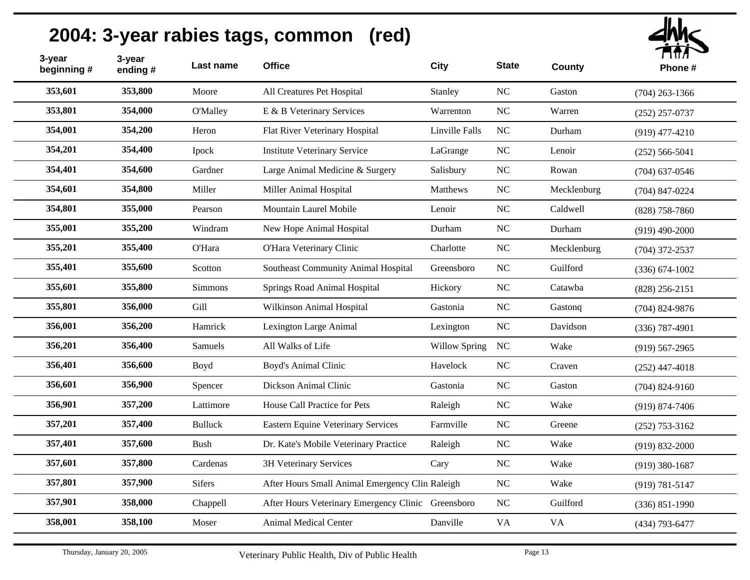| 2004: 3-year rabies tags, common<br>(red) |                   |                 |                                                    |                      |              |               |                    |  |
|-------------------------------------------|-------------------|-----------------|----------------------------------------------------|----------------------|--------------|---------------|--------------------|--|
| 3-year<br>beginning#                      | 3-year<br>ending# | Last name       | <b>Office</b>                                      | City                 | <b>State</b> | <b>County</b> | Phone#             |  |
| 353,601                                   | 353,800           | Moore           | All Creatures Pet Hospital                         | Stanley              | NC           | Gaston        | $(704)$ 263-1366   |  |
| 353,801                                   | 354,000           | <b>O'Malley</b> | E & B Veterinary Services                          | Warrenton            | <b>NC</b>    | Warren        | $(252)$ 257-0737   |  |
| 354,001                                   | 354,200           | Heron           | Flat River Veterinary Hospital                     | Linville Falls       | NC           | Durham        | $(919)$ 477-4210   |  |
| 354,201                                   | 354,400           | Ipock           | <b>Institute Veterinary Service</b>                | LaGrange             | NC           | Lenoir        | $(252) 566 - 5041$ |  |
| 354,401                                   | 354,600           | Gardner         | Large Animal Medicine & Surgery                    | Salisbury            | NC           | Rowan         | $(704)$ 637-0546   |  |
| 354,601                                   | 354,800           | Miller          | Miller Animal Hospital                             | Matthews             | NC           | Mecklenburg   | $(704)$ 847-0224   |  |
| 354,801                                   | 355,000           | Pearson         | Mountain Laurel Mobile                             | Lenoir               | NC           | Caldwell      | $(828)$ 758-7860   |  |
| 355,001                                   | 355,200           | Windram         | New Hope Animal Hospital                           | Durham               | <b>NC</b>    | Durham        | $(919)$ 490-2000   |  |
| 355,201                                   | 355,400           | O'Hara          | O'Hara Veterinary Clinic                           | Charlotte            | NC           | Mecklenburg   | $(704)$ 372-2537   |  |
| 355,401                                   | 355,600           | Scotton         | Southeast Community Animal Hospital                | Greensboro           | NC           | Guilford      | $(336) 674 - 1002$ |  |
| 355,601                                   | 355,800           | <b>Simmons</b>  | Springs Road Animal Hospital                       | Hickory              | NC           | Catawba       | $(828)$ 256-2151   |  |
| 355,801                                   | 356,000           | Gill            | Wilkinson Animal Hospital                          | Gastonia             | <b>NC</b>    | Gastong       | $(704)$ 824-9876   |  |
| 356,001                                   | 356,200           | Hamrick         | Lexington Large Animal                             | Lexington            | NC           | Davidson      | $(336)$ 787-4901   |  |
| 356,201                                   | 356,400           | Samuels         | All Walks of Life                                  | <b>Willow Spring</b> | NC           | Wake          | $(919)$ 567-2965   |  |
| 356,401                                   | 356,600           | Boyd            | Boyd's Animal Clinic                               | Havelock             | NC           | Craven        | $(252)$ 447-4018   |  |
| 356,601                                   | 356,900           | Spencer         | Dickson Animal Clinic                              | Gastonia             | NC           | Gaston        | $(704)$ 824-9160   |  |
| 356,901                                   | 357,200           | Lattimore       | House Call Practice for Pets                       | Raleigh              | <b>NC</b>    | Wake          | $(919) 874 - 7406$ |  |
| 357,201                                   | 357,400           | <b>Bulluck</b>  | <b>Eastern Equine Veterinary Services</b>          | Farmville            | NC           | Greene        | $(252)$ 753-3162   |  |
| 357,401                                   | 357,600           | <b>Bush</b>     | Dr. Kate's Mobile Veterinary Practice              | Raleigh              | $\rm NC$     | Wake          | $(919) 832 - 2000$ |  |
| 357,601                                   | 357,800           | Cardenas        | 3H Veterinary Services                             | Cary                 | <b>NC</b>    | Wake          | $(919)$ 380-1687   |  |
| 357,801                                   | 357,900           | <b>Sifers</b>   | After Hours Small Animal Emergency Clin Raleigh    |                      | <b>NC</b>    | Wake          | $(919) 781 - 5147$ |  |
| 357,901                                   | 358,000           | Chappell        | After Hours Veterinary Emergency Clinic Greensboro |                      | <b>NC</b>    | Guilford      | $(336) 851 - 1990$ |  |
| 358,001                                   | 358,100           | Moser           | Animal Medical Center                              | Danville             | VA           | <b>VA</b>     | $(434)$ 793-6477   |  |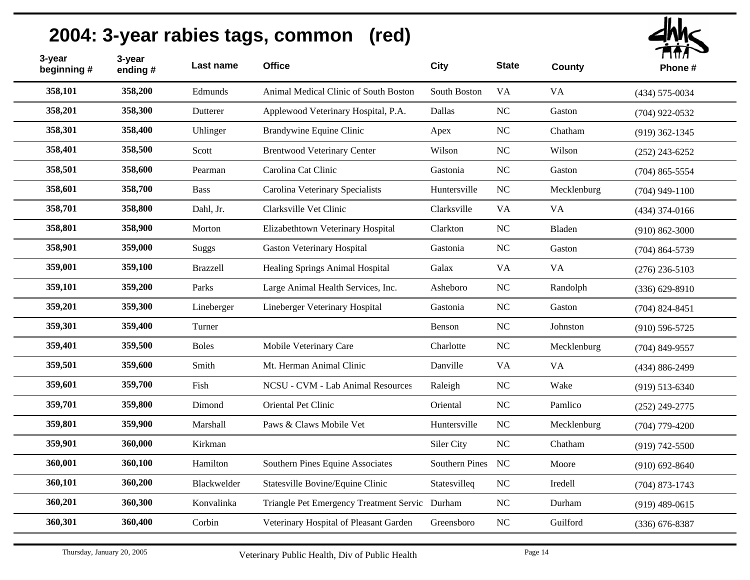| 3-year<br>beginning # | 3-year<br>ending# | Last name    | <b>Office</b>                                  | <b>City</b>       | <b>State</b> | <b>County</b> | т нил<br>Phone#    |
|-----------------------|-------------------|--------------|------------------------------------------------|-------------------|--------------|---------------|--------------------|
| 358,101               | 358,200           | Edmunds      | Animal Medical Clinic of South Boston          | South Boston      | <b>VA</b>    | <b>VA</b>     | $(434) 575 - 0034$ |
| 358,201               | 358,300           | Dutterer     | Applewood Veterinary Hospital, P.A.            | Dallas            | NC           | Gaston        | $(704)$ 922-0532   |
| 358,301               | 358,400           | Uhlinger     | Brandywine Equine Clinic                       | Apex              | NC           | Chatham       | $(919)$ 362-1345   |
| 358,401               | 358,500           | Scott        | <b>Brentwood Veterinary Center</b>             | Wilson            | NC           | Wilson        | $(252)$ 243-6252   |
| 358,501               | 358,600           | Pearman      | Carolina Cat Clinic                            | Gastonia          | <b>NC</b>    | Gaston        | $(704)$ 865-5554   |
| 358,601               | 358,700           | <b>Bass</b>  | Carolina Veterinary Specialists                | Huntersville      | NC           | Mecklenburg   | $(704)$ 949-1100   |
| 358,701               | 358,800           | Dahl, Jr.    | Clarksville Vet Clinic                         | Clarksville       | <b>VA</b>    | VA            | $(434)$ 374-0166   |
| 358,801               | 358,900           | Morton       | Elizabethtown Veterinary Hospital              | Clarkton          | NC           | Bladen        | $(910) 862 - 3000$ |
| 358,901               | 359,000           | Suggs        | <b>Gaston Veterinary Hospital</b>              | Gastonia          | <b>NC</b>    | Gaston        | $(704)$ 864-5739   |
| 359,001               | 359,100           | Brazzell     | Healing Springs Animal Hospital                | Galax             | <b>VA</b>    | VA            | $(276)$ 236-5103   |
| 359,101               | 359,200           | Parks        | Large Animal Health Services, Inc.             | Asheboro          | <b>NC</b>    | Randolph      | $(336) 629 - 8910$ |
| 359,201               | 359,300           | Lineberger   | Lineberger Veterinary Hospital                 | Gastonia          | NC           | Gaston        | $(704)$ 824-8451   |
| 359,301               | 359,400           | Turner       |                                                | Benson            | NC           | Johnston      | $(910)$ 596-5725   |
| 359,401               | 359,500           | <b>Boles</b> | Mobile Veterinary Care                         | Charlotte         | NC           | Mecklenburg   | $(704)$ 849-9557   |
| 359,501               | 359,600           | Smith        | Mt. Herman Animal Clinic                       | Danville          | <b>VA</b>    | <b>VA</b>     | $(434) 886 - 2499$ |
| 359,601               | 359,700           | Fish         | NCSU - CVM - Lab Animal Resources              | Raleigh           | NC           | Wake          | $(919) 513 - 6340$ |
| 359,701               | 359,800           | Dimond       | Oriental Pet Clinic                            | Oriental          | NC           | Pamlico       | $(252)$ 249-2775   |
| 359,801               | 359,900           | Marshall     | Paws & Claws Mobile Vet                        | Huntersville      | <b>NC</b>    | Mecklenburg   | $(704)$ 779-4200   |
| 359,901               | 360,000           | Kirkman      |                                                | Siler City        | NC           | Chatham       | $(919) 742 - 5500$ |
| 360,001               | 360,100           | Hamilton     | Southern Pines Equine Associates               | Southern Pines NC |              | Moore         | $(910)$ 692-8640   |
| 360,101               | 360,200           | Blackwelder  | Statesville Bovine/Equine Clinic               | Statesvilleq      | <b>NC</b>    | Iredell       | $(704)$ 873-1743   |
| 360,201               | 360,300           | Konvalinka   | Triangle Pet Emergency Treatment Servic Durham |                   | $_{\rm NC}$  | Durham        | $(919)$ 489-0615   |
| 360,301               | 360,400           | Corbin       | Veterinary Hospital of Pleasant Garden         | Greensboro        | NC           | Guilford      | $(336)$ 676-8387   |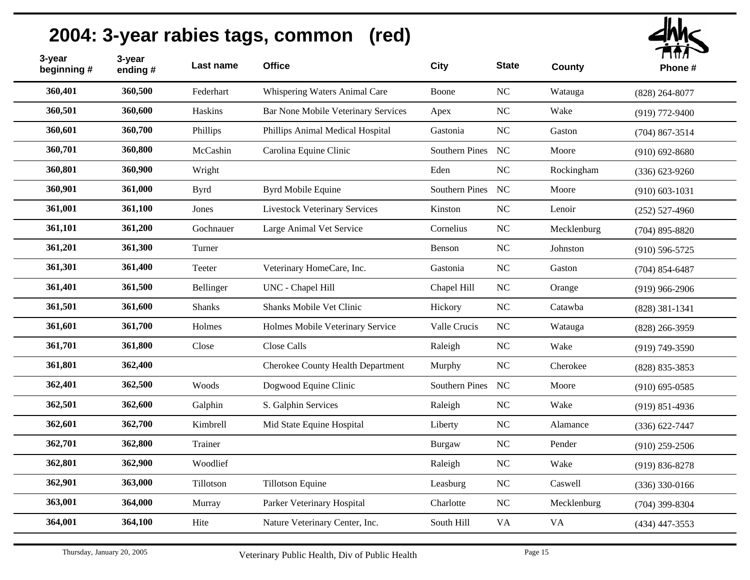| 3-year<br>beginning # | 3-year<br>ending# | Last name     | <b>Office</b>                            | City              | <b>State</b> | County      | ППЛ<br>Phone#      |
|-----------------------|-------------------|---------------|------------------------------------------|-------------------|--------------|-------------|--------------------|
| 360,401               | 360,500           | Federhart     | Whispering Waters Animal Care            | Boone             | NC           | Watauga     | $(828)$ 264-8077   |
| 360,501               | 360,600           | Haskins       | Bar None Mobile Veterinary Services      | Apex              | NC           | Wake        | $(919) 772 - 9400$ |
| 360,601               | 360,700           | Phillips      | Phillips Animal Medical Hospital         | Gastonia          | NC           | Gaston      | $(704)$ 867-3514   |
| 360,701               | 360,800           | McCashin      | Carolina Equine Clinic                   | Southern Pines NC |              | Moore       | $(910) 692 - 8680$ |
| 360,801               | 360,900           | Wright        |                                          | Eden              | $\rm NC$     | Rockingham  | $(336) 623 - 9260$ |
| 360,901               | 361,000           | <b>Byrd</b>   | Byrd Mobile Equine                       | Southern Pines NC |              | Moore       | $(910) 603 - 1031$ |
| 361,001               | 361,100           | Jones         | <b>Livestock Veterinary Services</b>     | Kinston           | NC           | Lenoir      | $(252) 527 - 4960$ |
| 361,101               | 361,200           | Gochnauer     | Large Animal Vet Service                 | Cornelius         | $\rm NC$     | Mecklenburg | $(704)$ 895-8820   |
| 361,201               | 361,300           | Turner        |                                          | Benson            | $\rm NC$     | Johnston    | $(910) 596 - 5725$ |
| 361,301               | 361,400           | Teeter        | Veterinary HomeCare, Inc.                | Gastonia          | NC           | Gaston      | $(704)$ 854-6487   |
| 361,401               | 361,500           | Bellinger     | UNC - Chapel Hill                        | Chapel Hill       | $\rm NC$     | Orange      | $(919)$ 966-2906   |
| 361,501               | 361,600           | <b>Shanks</b> | Shanks Mobile Vet Clinic                 | Hickory           | $\rm NC$     | Catawba     | $(828)$ 381-1341   |
| 361,601               | 361,700           | Holmes        | Holmes Mobile Veterinary Service         | Valle Crucis      | NC           | Watauga     | $(828)$ 266-3959   |
| 361,701               | 361,800           | Close         | Close Calls                              | Raleigh           | $\rm NC$     | Wake        | $(919) 749 - 3590$ |
| 361,801               | 362,400           |               | <b>Cherokee County Health Department</b> | Murphy            | $\rm NC$     | Cherokee    | $(828) 835 - 3853$ |
| 362,401               | 362,500           | Woods         | Dogwood Equine Clinic                    | Southern Pines    | NC           | Moore       | $(910) 695 - 0585$ |
| 362,501               | 362,600           | Galphin       | S. Galphin Services                      | Raleigh           | $\rm NC$     | Wake        | $(919) 851 - 4936$ |
| 362,601               | 362,700           | Kimbrell      | Mid State Equine Hospital                | Liberty           | $\rm NC$     | Alamance    | $(336) 622 - 7447$ |
| 362,701               | 362,800           | Trainer       |                                          | <b>Burgaw</b>     | $\rm NC$     | Pender      | $(910)$ 259-2506   |
| 362,801               | 362,900           | Woodlief      |                                          | Raleigh           | NC           | Wake        | $(919) 836 - 8278$ |
| 362,901               | 363,000           | Tillotson     | <b>Tillotson Equine</b>                  | Leasburg          | $\rm NC$     | Caswell     | $(336)$ 330-0166   |
| 363,001               | 364,000           | Murray        | Parker Veterinary Hospital               | Charlotte         | $\rm NC$     | Mecklenburg | $(704)$ 399-8304   |
| 364,001               | 364,100           | Hite          | Nature Veterinary Center, Inc.           | South Hill        | <b>VA</b>    | <b>VA</b>   | $(434)$ 447-3553   |
|                       |                   |               |                                          |                   |              |             |                    |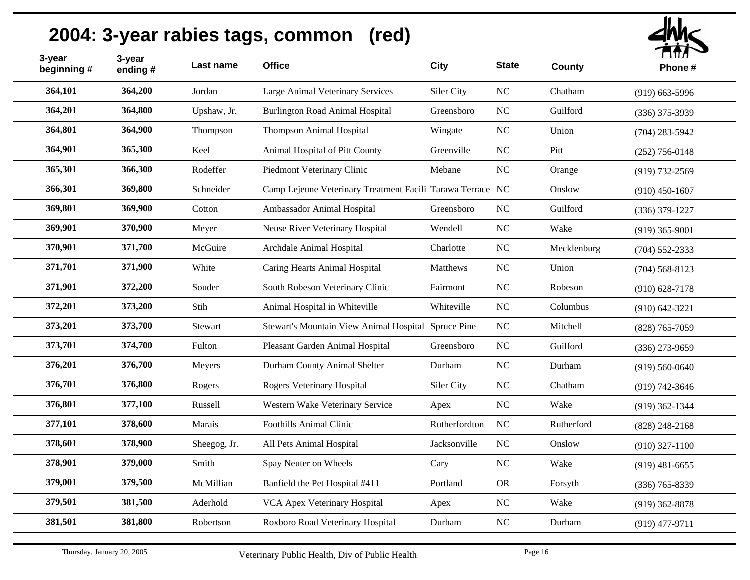| 364,101<br>364,200<br>Jordan<br>Large Animal Veterinary Services<br>Siler City<br>NC<br>Chatham<br>$(919)$ 663-5996<br>364,201<br>364,800<br><b>Burlington Road Animal Hospital</b><br>NC<br>Guilford<br>Upshaw, Jr.<br>Greensboro<br>$(336)$ 375-3939<br>364,801<br>364,900<br>Thompson Animal Hospital<br>Thompson<br>Wingate<br>NC<br>Union<br>$(704)$ 283-5942<br>364,901<br>365,300<br>Keel<br>Animal Hospital of Pitt County<br>Greenville<br>NC<br>Pitt<br>$(252)$ 756-0148<br>365,301<br>366,300<br>Rodeffer<br>Piedmont Veterinary Clinic<br>$_{\rm NC}$<br>Mebane<br>Orange<br>$(919) 732 - 2569$<br>366,301<br>369,800<br>Schneider<br>Camp Lejeune Veterinary Treatment Facili Tarawa Terrace NC<br>Onslow<br>$(910)$ 450-1607<br>369,801<br>369,900<br>Cotton<br>Ambassador Animal Hospital<br>Greensboro<br>NC<br>Guilford<br>$(336)$ 379-1227<br>369,901<br>370,900<br>Neuse River Veterinary Hospital<br>NC<br>Wake<br>Meyer<br>Wendell<br>$(919)$ 365-9001<br>370,901<br>371,700<br>NC<br>McGuire<br>Archdale Animal Hospital<br>Charlotte<br>Mecklenburg<br>$(704)$ 552-2333<br>371,701<br>371,900<br>White<br>Caring Hearts Animal Hospital<br>NC<br>Matthews<br>Union<br>$(704)$ 568-8123<br>371,901<br>372,200<br>NC<br>Souder<br>South Robeson Veterinary Clinic<br>Robeson<br>Fairmont<br>$(910)$ 628-7178<br>372,201<br>373,200<br>Stih<br>Animal Hospital in Whiteville<br>NC<br>Whiteville<br>Columbus<br>$(910) 642 - 3221$<br>373,201<br>373,700<br>$\rm NC$<br>Stewart<br>Stewart's Mountain View Animal Hospital Spruce Pine<br>Mitchell<br>$(828)$ 765-7059<br>373,701<br>374,700<br>Fulton<br>Pleasant Garden Animal Hospital<br>NC<br>Guilford<br>Greensboro<br>$(336)$ 273-9659<br>376,201<br>376,700<br>NC<br>Durham County Animal Shelter<br>Durham<br>Durham<br>Meyers<br>$(919) 560 - 0640$<br>376,701<br>376,800<br>Rogers Veterinary Hospital<br>NC<br>Siler City<br>Chatham<br>Rogers<br>$(919) 742 - 3646$<br>376,801<br>377,100<br>$\rm NC$<br>Russell<br>Western Wake Veterinary Service<br>Wake<br>Apex<br>$(919)$ 362-1344 |  |
|--------------------------------------------------------------------------------------------------------------------------------------------------------------------------------------------------------------------------------------------------------------------------------------------------------------------------------------------------------------------------------------------------------------------------------------------------------------------------------------------------------------------------------------------------------------------------------------------------------------------------------------------------------------------------------------------------------------------------------------------------------------------------------------------------------------------------------------------------------------------------------------------------------------------------------------------------------------------------------------------------------------------------------------------------------------------------------------------------------------------------------------------------------------------------------------------------------------------------------------------------------------------------------------------------------------------------------------------------------------------------------------------------------------------------------------------------------------------------------------------------------------------------------------------------------------------------------------------------------------------------------------------------------------------------------------------------------------------------------------------------------------------------------------------------------------------------------------------------------------------------------------------------------------------------------------------------------------------------------------------------------------------------------------------------------------------------|--|
|                                                                                                                                                                                                                                                                                                                                                                                                                                                                                                                                                                                                                                                                                                                                                                                                                                                                                                                                                                                                                                                                                                                                                                                                                                                                                                                                                                                                                                                                                                                                                                                                                                                                                                                                                                                                                                                                                                                                                                                                                                                                          |  |
|                                                                                                                                                                                                                                                                                                                                                                                                                                                                                                                                                                                                                                                                                                                                                                                                                                                                                                                                                                                                                                                                                                                                                                                                                                                                                                                                                                                                                                                                                                                                                                                                                                                                                                                                                                                                                                                                                                                                                                                                                                                                          |  |
|                                                                                                                                                                                                                                                                                                                                                                                                                                                                                                                                                                                                                                                                                                                                                                                                                                                                                                                                                                                                                                                                                                                                                                                                                                                                                                                                                                                                                                                                                                                                                                                                                                                                                                                                                                                                                                                                                                                                                                                                                                                                          |  |
|                                                                                                                                                                                                                                                                                                                                                                                                                                                                                                                                                                                                                                                                                                                                                                                                                                                                                                                                                                                                                                                                                                                                                                                                                                                                                                                                                                                                                                                                                                                                                                                                                                                                                                                                                                                                                                                                                                                                                                                                                                                                          |  |
|                                                                                                                                                                                                                                                                                                                                                                                                                                                                                                                                                                                                                                                                                                                                                                                                                                                                                                                                                                                                                                                                                                                                                                                                                                                                                                                                                                                                                                                                                                                                                                                                                                                                                                                                                                                                                                                                                                                                                                                                                                                                          |  |
|                                                                                                                                                                                                                                                                                                                                                                                                                                                                                                                                                                                                                                                                                                                                                                                                                                                                                                                                                                                                                                                                                                                                                                                                                                                                                                                                                                                                                                                                                                                                                                                                                                                                                                                                                                                                                                                                                                                                                                                                                                                                          |  |
|                                                                                                                                                                                                                                                                                                                                                                                                                                                                                                                                                                                                                                                                                                                                                                                                                                                                                                                                                                                                                                                                                                                                                                                                                                                                                                                                                                                                                                                                                                                                                                                                                                                                                                                                                                                                                                                                                                                                                                                                                                                                          |  |
|                                                                                                                                                                                                                                                                                                                                                                                                                                                                                                                                                                                                                                                                                                                                                                                                                                                                                                                                                                                                                                                                                                                                                                                                                                                                                                                                                                                                                                                                                                                                                                                                                                                                                                                                                                                                                                                                                                                                                                                                                                                                          |  |
|                                                                                                                                                                                                                                                                                                                                                                                                                                                                                                                                                                                                                                                                                                                                                                                                                                                                                                                                                                                                                                                                                                                                                                                                                                                                                                                                                                                                                                                                                                                                                                                                                                                                                                                                                                                                                                                                                                                                                                                                                                                                          |  |
|                                                                                                                                                                                                                                                                                                                                                                                                                                                                                                                                                                                                                                                                                                                                                                                                                                                                                                                                                                                                                                                                                                                                                                                                                                                                                                                                                                                                                                                                                                                                                                                                                                                                                                                                                                                                                                                                                                                                                                                                                                                                          |  |
|                                                                                                                                                                                                                                                                                                                                                                                                                                                                                                                                                                                                                                                                                                                                                                                                                                                                                                                                                                                                                                                                                                                                                                                                                                                                                                                                                                                                                                                                                                                                                                                                                                                                                                                                                                                                                                                                                                                                                                                                                                                                          |  |
|                                                                                                                                                                                                                                                                                                                                                                                                                                                                                                                                                                                                                                                                                                                                                                                                                                                                                                                                                                                                                                                                                                                                                                                                                                                                                                                                                                                                                                                                                                                                                                                                                                                                                                                                                                                                                                                                                                                                                                                                                                                                          |  |
|                                                                                                                                                                                                                                                                                                                                                                                                                                                                                                                                                                                                                                                                                                                                                                                                                                                                                                                                                                                                                                                                                                                                                                                                                                                                                                                                                                                                                                                                                                                                                                                                                                                                                                                                                                                                                                                                                                                                                                                                                                                                          |  |
|                                                                                                                                                                                                                                                                                                                                                                                                                                                                                                                                                                                                                                                                                                                                                                                                                                                                                                                                                                                                                                                                                                                                                                                                                                                                                                                                                                                                                                                                                                                                                                                                                                                                                                                                                                                                                                                                                                                                                                                                                                                                          |  |
|                                                                                                                                                                                                                                                                                                                                                                                                                                                                                                                                                                                                                                                                                                                                                                                                                                                                                                                                                                                                                                                                                                                                                                                                                                                                                                                                                                                                                                                                                                                                                                                                                                                                                                                                                                                                                                                                                                                                                                                                                                                                          |  |
|                                                                                                                                                                                                                                                                                                                                                                                                                                                                                                                                                                                                                                                                                                                                                                                                                                                                                                                                                                                                                                                                                                                                                                                                                                                                                                                                                                                                                                                                                                                                                                                                                                                                                                                                                                                                                                                                                                                                                                                                                                                                          |  |
|                                                                                                                                                                                                                                                                                                                                                                                                                                                                                                                                                                                                                                                                                                                                                                                                                                                                                                                                                                                                                                                                                                                                                                                                                                                                                                                                                                                                                                                                                                                                                                                                                                                                                                                                                                                                                                                                                                                                                                                                                                                                          |  |
| 377,101<br>378,600<br><b>NC</b><br>Marais<br><b>Foothills Animal Clinic</b><br>Rutherfordton<br>Rutherford<br>$(828)$ 248-2168                                                                                                                                                                                                                                                                                                                                                                                                                                                                                                                                                                                                                                                                                                                                                                                                                                                                                                                                                                                                                                                                                                                                                                                                                                                                                                                                                                                                                                                                                                                                                                                                                                                                                                                                                                                                                                                                                                                                           |  |
| 378,601<br>378,900<br>NC<br>Sheegog, Jr.<br>All Pets Animal Hospital<br>Jacksonville<br>Onslow<br>$(910)$ 327-1100                                                                                                                                                                                                                                                                                                                                                                                                                                                                                                                                                                                                                                                                                                                                                                                                                                                                                                                                                                                                                                                                                                                                                                                                                                                                                                                                                                                                                                                                                                                                                                                                                                                                                                                                                                                                                                                                                                                                                       |  |
| 378,901<br>379,000<br>Spay Neuter on Wheels<br>Smith<br>NC<br>Wake<br>Cary<br>$(919)$ 481-6655                                                                                                                                                                                                                                                                                                                                                                                                                                                                                                                                                                                                                                                                                                                                                                                                                                                                                                                                                                                                                                                                                                                                                                                                                                                                                                                                                                                                                                                                                                                                                                                                                                                                                                                                                                                                                                                                                                                                                                           |  |
| 379,001<br>379,500<br>Banfield the Pet Hospital #411<br>McMillian<br>Portland<br><b>OR</b><br>Forsyth<br>$(336)$ 765-8339                                                                                                                                                                                                                                                                                                                                                                                                                                                                                                                                                                                                                                                                                                                                                                                                                                                                                                                                                                                                                                                                                                                                                                                                                                                                                                                                                                                                                                                                                                                                                                                                                                                                                                                                                                                                                                                                                                                                                |  |
| 379,501<br>381,500<br>VCA Apex Veterinary Hospital<br>NC<br>Aderhold<br>Wake<br>Apex<br>$(919)$ 362-8878                                                                                                                                                                                                                                                                                                                                                                                                                                                                                                                                                                                                                                                                                                                                                                                                                                                                                                                                                                                                                                                                                                                                                                                                                                                                                                                                                                                                                                                                                                                                                                                                                                                                                                                                                                                                                                                                                                                                                                 |  |
| 381,501<br>381,800<br>$\rm NC$<br>Robertson<br>Roxboro Road Veterinary Hospital<br>Durham<br>Durham<br>$(919)$ 477-9711                                                                                                                                                                                                                                                                                                                                                                                                                                                                                                                                                                                                                                                                                                                                                                                                                                                                                                                                                                                                                                                                                                                                                                                                                                                                                                                                                                                                                                                                                                                                                                                                                                                                                                                                                                                                                                                                                                                                                  |  |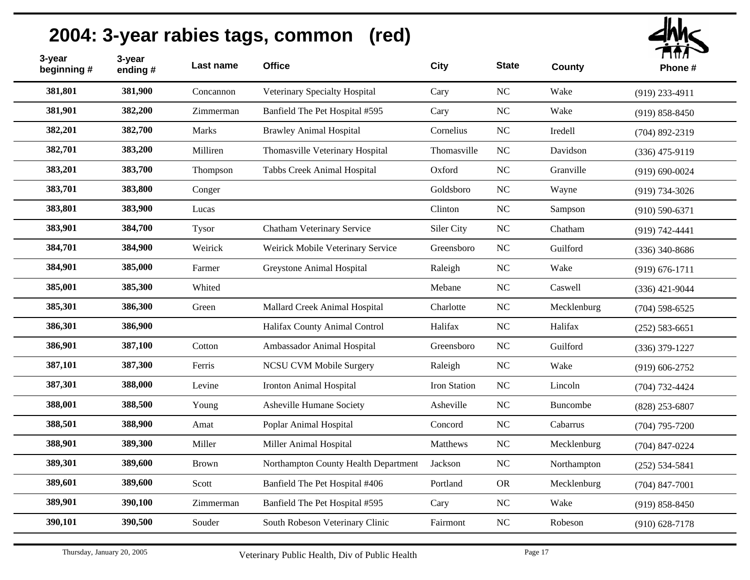

| 3-year<br>beginning # | 3-year<br>ending# | Last name    | <b>Office</b>                        | City         | <b>State</b>   | <b>County</b> | , , , , , ,<br>Phone # |
|-----------------------|-------------------|--------------|--------------------------------------|--------------|----------------|---------------|------------------------|
| 381,801               | 381,900           | Concannon    | Veterinary Specialty Hospital        | Cary         | NC             | Wake          | $(919)$ 233-4911       |
| 381,901               | 382,200           | Zimmerman    | Banfield The Pet Hospital #595       | Cary         | <b>NC</b>      | Wake          | $(919) 858 - 8450$     |
| 382,201               | 382,700           | Marks        | <b>Brawley Animal Hospital</b>       | Cornelius    | <b>NC</b>      | Iredell       | $(704)$ 892-2319       |
| 382,701               | 383,200           | Milliren     | Thomasville Veterinary Hospital      | Thomasville  | <b>NC</b>      | Davidson      | $(336)$ 475-9119       |
| 383,201               | 383,700           | Thompson     | Tabbs Creek Animal Hospital          | Oxford       | NC             | Granville     | $(919) 690 - 0024$     |
| 383,701               | 383,800           | Conger       |                                      | Goldsboro    | NC             | Wayne         | $(919) 734 - 3026$     |
| 383,801               | 383,900           | Lucas        |                                      | Clinton      | NC             | Sampson       | $(910) 590 - 6371$     |
| 383,901               | 384,700           | Tysor        | Chatham Veterinary Service           | Siler City   | <b>NC</b>      | Chatham       | $(919) 742 - 4441$     |
| 384,701               | 384,900           | Weirick      | Weirick Mobile Veterinary Service    | Greensboro   | NC             | Guilford      | $(336)$ 340-8686       |
| 384,901               | 385,000           | Farmer       | Greystone Animal Hospital            | Raleigh      | <b>NC</b>      | Wake          | $(919) 676 - 1711$     |
| 385,001               | 385,300           | Whited       |                                      | Mebane       | NC             | Caswell       | $(336)$ 421-9044       |
| 385,301               | 386,300           | Green        | Mallard Creek Animal Hospital        | Charlotte    | NC             | Mecklenburg   | $(704)$ 598-6525       |
| 386,301               | 386,900           |              | Halifax County Animal Control        | Halifax      | NC             | Halifax       | $(252) 583 - 6651$     |
| 386,901               | 387,100           | Cotton       | Ambassador Animal Hospital           | Greensboro   | NC             | Guilford      | $(336)$ 379-1227       |
| 387,101               | 387,300           | Ferris       | <b>NCSU CVM Mobile Surgery</b>       | Raleigh      | NC             | Wake          | $(919) 606 - 2752$     |
| 387,301               | 388,000           | Levine       | Ironton Animal Hospital              | Iron Station | NC             | Lincoln       | $(704) 732 - 4424$     |
| 388,001               | 388,500           | Young        | Asheville Humane Society             | Asheville    | N <sub>C</sub> | Buncombe      | $(828)$ 253-6807       |
| 388,501               | 388,900           | Amat         | Poplar Animal Hospital               | Concord      | N <sub>C</sub> | Cabarrus      | $(704)$ 795-7200       |
| 388,901               | 389,300           | Miller       | Miller Animal Hospital               | Matthews     | <b>NC</b>      | Mecklenburg   | $(704)$ 847-0224       |
| 389,301               | 389,600           | <b>Brown</b> | Northampton County Health Department | Jackson      | N <sub>C</sub> | Northampton   | $(252) 534 - 5841$     |
| 389,601               | 389,600           | Scott        | Banfield The Pet Hospital #406       | Portland     | <b>OR</b>      | Mecklenburg   | $(704)$ 847-7001       |
| 389,901               | 390,100           | Zimmerman    | Banfield The Pet Hospital #595       | Cary         | NC             | Wake          | $(919) 858 - 8450$     |
| 390,101               | 390,500           | Souder       | South Robeson Veterinary Clinic      | Fairmont     | NC             | Robeson       | $(910) 628 - 7178$     |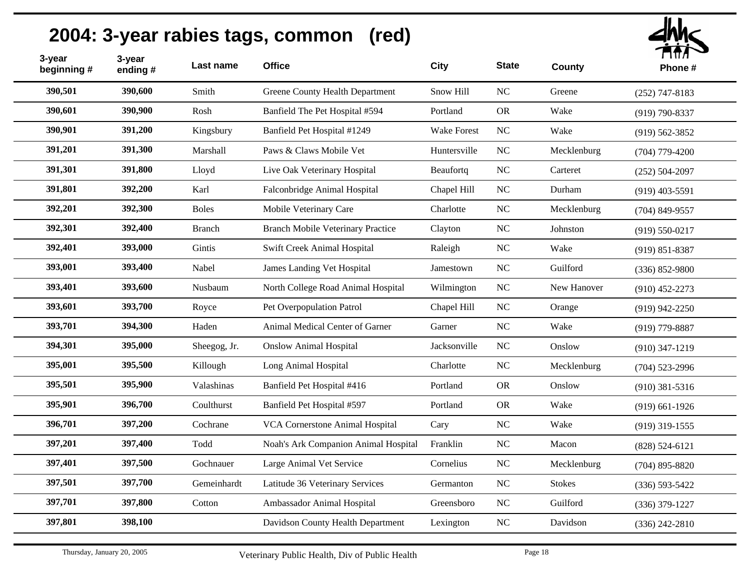| 390,501<br>390,600<br>NC<br>Smith<br>Greene County Health Department<br>Snow Hill<br>Greene<br>$(252)$ 747-8183<br>390,900<br>390,601<br>Banfield The Pet Hospital #594<br>Portland<br><b>OR</b><br>Rosh<br>Wake<br>$(919) 790 - 8337$<br>390,901<br>391,200<br>Kingsbury<br>Banfield Pet Hospital #1249<br><b>Wake Forest</b><br>NC<br>Wake<br>$(919) 562 - 3852$<br>391,201<br>391,300<br>Marshall<br>Paws & Claws Mobile Vet<br>Huntersville<br>NC<br>Mecklenburg<br>$(704)$ 779-4200<br>391,301<br>391,800<br>Lloyd<br>$_{\rm NC}$<br>Live Oak Veterinary Hospital<br>Beaufortq<br>Carteret<br>$(252) 504 - 2097$<br>391,801<br>392,200<br>Falconbridge Animal Hospital<br>NC<br>Karl<br>Chapel Hill<br>Durham<br>$(919)$ 403-5591<br>392,300<br>392,201<br>Mobile Veterinary Care<br>Charlotte<br>NC<br><b>Boles</b><br>Mecklenburg<br>$(704)$ 849-9557<br>392,301<br>392,400<br><b>Branch Mobile Veterinary Practice</b><br>NC<br>Johnston<br><b>Branch</b><br>Clayton<br>$(919) 550 - 0217$<br>392,401<br>393,000<br>Gintis<br>Swift Creek Animal Hospital<br>NC<br>Wake<br>Raleigh<br>$(919) 851 - 8387$<br>393,001<br>393,400<br>Nabel<br>James Landing Vet Hospital<br><b>NC</b><br>Jamestown<br>Guilford<br>$(336) 852 - 9800$<br>393,401<br>393,600<br>NC<br>Nusbaum<br>North College Road Animal Hospital<br>New Hanover<br>Wilmington<br>$(910)$ 452-2273<br>393,700<br>393,601<br>NC<br>Pet Overpopulation Patrol<br>Royce<br>Chapel Hill<br>Orange<br>$(919)$ 942-2250<br>393,701<br>394,300<br>NC<br>Animal Medical Center of Garner<br>Wake<br>Haden<br>Garner<br>$(919)$ 779-8887<br>394,301<br>395,000<br>Sheegog, Jr.<br><b>Onslow Animal Hospital</b><br>Jacksonville<br><b>NC</b><br>Onslow |
|--------------------------------------------------------------------------------------------------------------------------------------------------------------------------------------------------------------------------------------------------------------------------------------------------------------------------------------------------------------------------------------------------------------------------------------------------------------------------------------------------------------------------------------------------------------------------------------------------------------------------------------------------------------------------------------------------------------------------------------------------------------------------------------------------------------------------------------------------------------------------------------------------------------------------------------------------------------------------------------------------------------------------------------------------------------------------------------------------------------------------------------------------------------------------------------------------------------------------------------------------------------------------------------------------------------------------------------------------------------------------------------------------------------------------------------------------------------------------------------------------------------------------------------------------------------------------------------------------------------------------------------------------------------------------------------------------------------------|
|                                                                                                                                                                                                                                                                                                                                                                                                                                                                                                                                                                                                                                                                                                                                                                                                                                                                                                                                                                                                                                                                                                                                                                                                                                                                                                                                                                                                                                                                                                                                                                                                                                                                                                                    |
|                                                                                                                                                                                                                                                                                                                                                                                                                                                                                                                                                                                                                                                                                                                                                                                                                                                                                                                                                                                                                                                                                                                                                                                                                                                                                                                                                                                                                                                                                                                                                                                                                                                                                                                    |
|                                                                                                                                                                                                                                                                                                                                                                                                                                                                                                                                                                                                                                                                                                                                                                                                                                                                                                                                                                                                                                                                                                                                                                                                                                                                                                                                                                                                                                                                                                                                                                                                                                                                                                                    |
|                                                                                                                                                                                                                                                                                                                                                                                                                                                                                                                                                                                                                                                                                                                                                                                                                                                                                                                                                                                                                                                                                                                                                                                                                                                                                                                                                                                                                                                                                                                                                                                                                                                                                                                    |
|                                                                                                                                                                                                                                                                                                                                                                                                                                                                                                                                                                                                                                                                                                                                                                                                                                                                                                                                                                                                                                                                                                                                                                                                                                                                                                                                                                                                                                                                                                                                                                                                                                                                                                                    |
|                                                                                                                                                                                                                                                                                                                                                                                                                                                                                                                                                                                                                                                                                                                                                                                                                                                                                                                                                                                                                                                                                                                                                                                                                                                                                                                                                                                                                                                                                                                                                                                                                                                                                                                    |
|                                                                                                                                                                                                                                                                                                                                                                                                                                                                                                                                                                                                                                                                                                                                                                                                                                                                                                                                                                                                                                                                                                                                                                                                                                                                                                                                                                                                                                                                                                                                                                                                                                                                                                                    |
|                                                                                                                                                                                                                                                                                                                                                                                                                                                                                                                                                                                                                                                                                                                                                                                                                                                                                                                                                                                                                                                                                                                                                                                                                                                                                                                                                                                                                                                                                                                                                                                                                                                                                                                    |
|                                                                                                                                                                                                                                                                                                                                                                                                                                                                                                                                                                                                                                                                                                                                                                                                                                                                                                                                                                                                                                                                                                                                                                                                                                                                                                                                                                                                                                                                                                                                                                                                                                                                                                                    |
|                                                                                                                                                                                                                                                                                                                                                                                                                                                                                                                                                                                                                                                                                                                                                                                                                                                                                                                                                                                                                                                                                                                                                                                                                                                                                                                                                                                                                                                                                                                                                                                                                                                                                                                    |
|                                                                                                                                                                                                                                                                                                                                                                                                                                                                                                                                                                                                                                                                                                                                                                                                                                                                                                                                                                                                                                                                                                                                                                                                                                                                                                                                                                                                                                                                                                                                                                                                                                                                                                                    |
|                                                                                                                                                                                                                                                                                                                                                                                                                                                                                                                                                                                                                                                                                                                                                                                                                                                                                                                                                                                                                                                                                                                                                                                                                                                                                                                                                                                                                                                                                                                                                                                                                                                                                                                    |
|                                                                                                                                                                                                                                                                                                                                                                                                                                                                                                                                                                                                                                                                                                                                                                                                                                                                                                                                                                                                                                                                                                                                                                                                                                                                                                                                                                                                                                                                                                                                                                                                                                                                                                                    |
| $(910)$ 347-1219                                                                                                                                                                                                                                                                                                                                                                                                                                                                                                                                                                                                                                                                                                                                                                                                                                                                                                                                                                                                                                                                                                                                                                                                                                                                                                                                                                                                                                                                                                                                                                                                                                                                                                   |
| 395,500<br>395,001<br><b>NC</b><br>Killough<br>Long Animal Hospital<br>Charlotte<br>Mecklenburg<br>$(704)$ 523-2996                                                                                                                                                                                                                                                                                                                                                                                                                                                                                                                                                                                                                                                                                                                                                                                                                                                                                                                                                                                                                                                                                                                                                                                                                                                                                                                                                                                                                                                                                                                                                                                                |
| 395,501<br>395,900<br>Banfield Pet Hospital #416<br>Valashinas<br>Portland<br><b>OR</b><br>Onslow<br>$(910)$ 381-5316                                                                                                                                                                                                                                                                                                                                                                                                                                                                                                                                                                                                                                                                                                                                                                                                                                                                                                                                                                                                                                                                                                                                                                                                                                                                                                                                                                                                                                                                                                                                                                                              |
| 396,700<br>395,901<br>Coulthurst<br>Banfield Pet Hospital #597<br><b>OR</b><br>Portland<br>Wake<br>$(919)$ 661-1926                                                                                                                                                                                                                                                                                                                                                                                                                                                                                                                                                                                                                                                                                                                                                                                                                                                                                                                                                                                                                                                                                                                                                                                                                                                                                                                                                                                                                                                                                                                                                                                                |
| 396,701<br>397,200<br>Cochrane<br>VCA Cornerstone Animal Hospital<br>NC<br>Cary<br>Wake<br>$(919)$ 319-1555                                                                                                                                                                                                                                                                                                                                                                                                                                                                                                                                                                                                                                                                                                                                                                                                                                                                                                                                                                                                                                                                                                                                                                                                                                                                                                                                                                                                                                                                                                                                                                                                        |
| 397,201<br>397,400<br>Todd<br>NC<br>Noah's Ark Companion Animal Hospital<br>Franklin<br>Macon<br>$(828) 524 - 6121$                                                                                                                                                                                                                                                                                                                                                                                                                                                                                                                                                                                                                                                                                                                                                                                                                                                                                                                                                                                                                                                                                                                                                                                                                                                                                                                                                                                                                                                                                                                                                                                                |
| 397,401<br>397,500<br>Gochnauer<br>Large Animal Vet Service<br>NC<br>Cornelius<br>Mecklenburg<br>$(704)$ 895-8820                                                                                                                                                                                                                                                                                                                                                                                                                                                                                                                                                                                                                                                                                                                                                                                                                                                                                                                                                                                                                                                                                                                                                                                                                                                                                                                                                                                                                                                                                                                                                                                                  |
| 397,501<br>397,700<br>NC<br>Gemeinhardt<br>Latitude 36 Veterinary Services<br><b>Stokes</b><br>Germanton<br>$(336) 593 - 5422$                                                                                                                                                                                                                                                                                                                                                                                                                                                                                                                                                                                                                                                                                                                                                                                                                                                                                                                                                                                                                                                                                                                                                                                                                                                                                                                                                                                                                                                                                                                                                                                     |
| 397,701<br>397,800<br>Ambassador Animal Hospital<br>Greensboro<br><b>NC</b><br>Guilford<br>Cotton<br>$(336)$ 379-1227                                                                                                                                                                                                                                                                                                                                                                                                                                                                                                                                                                                                                                                                                                                                                                                                                                                                                                                                                                                                                                                                                                                                                                                                                                                                                                                                                                                                                                                                                                                                                                                              |
| 397,801<br>398,100<br>$_{\rm NC}$<br>Davidson County Health Department<br>Davidson<br>Lexington<br>$(336)$ 242-2810                                                                                                                                                                                                                                                                                                                                                                                                                                                                                                                                                                                                                                                                                                                                                                                                                                                                                                                                                                                                                                                                                                                                                                                                                                                                                                                                                                                                                                                                                                                                                                                                |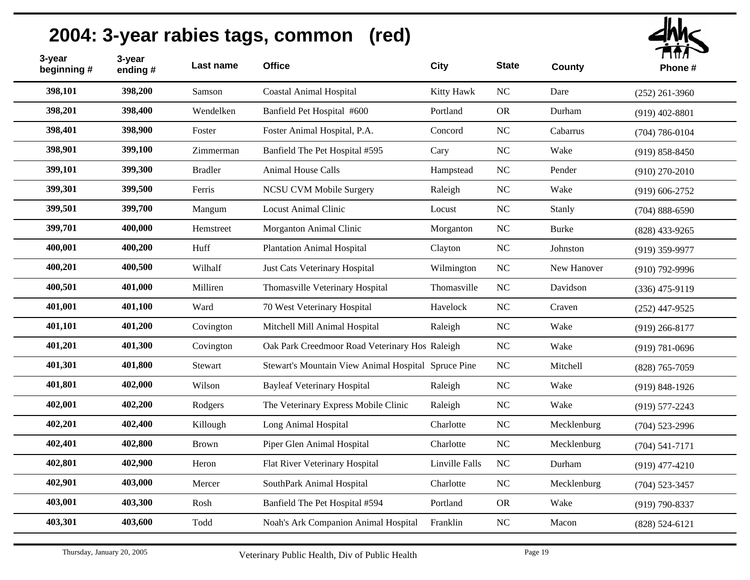| $d$ hh $\epsilon$<br>नत⊼ |
|--------------------------|
|                          |

| 3-year<br>beginning# | 3-year<br>ending# | Last name      | <b>Office</b>                                       | <b>City</b>    | <b>State</b>   | <b>County</b> | , , , , , ,<br>Phone# |
|----------------------|-------------------|----------------|-----------------------------------------------------|----------------|----------------|---------------|-----------------------|
| 398,101              | 398,200           | Samson         | <b>Coastal Animal Hospital</b>                      | Kitty Hawk     | NC             | Dare          | $(252)$ 261-3960      |
| 398,201              | 398,400           | Wendelken      | Banfield Pet Hospital #600                          | Portland       | <b>OR</b>      | Durham        | $(919)$ 402-8801      |
| 398,401              | 398,900           | Foster         | Foster Animal Hospital, P.A.                        | Concord        | N <sub>C</sub> | Cabarrus      | $(704) 786 - 0104$    |
| 398,901              | 399,100           | Zimmerman      | Banfield The Pet Hospital #595                      | Cary           | <b>NC</b>      | Wake          | $(919) 858 - 8450$    |
| 399,101              | 399,300           | <b>Bradler</b> | Animal House Calls                                  | Hampstead      | N <sub>C</sub> | Pender        | $(910)$ 270-2010      |
| 399,301              | 399,500           | Ferris         | NCSU CVM Mobile Surgery                             | Raleigh        | N <sub>C</sub> | Wake          | $(919) 606 - 2752$    |
| 399,501              | 399,700           | Mangum         | <b>Locust Animal Clinic</b>                         | Locust         | N <sub>C</sub> | Stanly        | $(704) 888 - 6590$    |
| 399,701              | 400,000           | Hemstreet      | Morganton Animal Clinic                             | Morganton      | <b>NC</b>      | <b>Burke</b>  | $(828)$ 433-9265      |
| 400,001              | 400,200           | Huff           | <b>Plantation Animal Hospital</b>                   | Clayton        | NC             | Johnston      | $(919)$ 359-9977      |
| 400,201              | 400,500           | Wilhalf        | Just Cats Veterinary Hospital                       | Wilmington     | NC             | New Hanover   | $(910)$ 792-9996      |
| 400,501              | 401,000           | Milliren       | Thomasville Veterinary Hospital                     | Thomasville    | NC             | Davidson      | $(336)$ 475-9119      |
| 401,001              | 401,100           | Ward           | 70 West Veterinary Hospital                         | Havelock       | NC             | Craven        | $(252)$ 447-9525      |
| 401,101              | 401,200           | Covington      | Mitchell Mill Animal Hospital                       | Raleigh        | <b>NC</b>      | Wake          | $(919)$ 266-8177      |
| 401,201              | 401,300           | Covington      | Oak Park Creedmoor Road Veterinary Hos Raleigh      |                | NC             | Wake          | $(919) 781 - 0696$    |
| 401,301              | 401,800           | Stewart        | Stewart's Mountain View Animal Hospital Spruce Pine |                | NC             | Mitchell      | $(828)$ 765-7059      |
| 401,801              | 402,000           | Wilson         | <b>Bayleaf Veterinary Hospital</b>                  | Raleigh        | NC             | Wake          | $(919) 848 - 1926$    |
| 402,001              | 402,200           | Rodgers        | The Veterinary Express Mobile Clinic                | Raleigh        | <b>NC</b>      | Wake          | $(919) 577 - 2243$    |
| 402,201              | 402,400           | Killough       | Long Animal Hospital                                | Charlotte      | NC             | Mecklenburg   | $(704)$ 523-2996      |
| 402,401              | 402,800           | <b>Brown</b>   | Piper Glen Animal Hospital                          | Charlotte      | NC             | Mecklenburg   | $(704) 541 - 7171$    |
| 402,801              | 402,900           | Heron          | Flat River Veterinary Hospital                      | Linville Falls | NC             | Durham        | $(919)$ 477-4210      |
| 402,901              | 403,000           | Mercer         | SouthPark Animal Hospital                           | Charlotte      | <b>NC</b>      | Mecklenburg   | $(704)$ 523-3457      |
| 403,001              | 403,300           | Rosh           | Banfield The Pet Hospital #594                      | Portland       | <b>OR</b>      | Wake          | $(919) 790 - 8337$    |
| 403,301              | 403,600           | Todd           | Noah's Ark Companion Animal Hospital                | Franklin       | $\rm NC$       | Macon         | $(828) 524 - 6121$    |
|                      |                   |                |                                                     |                |                |               |                       |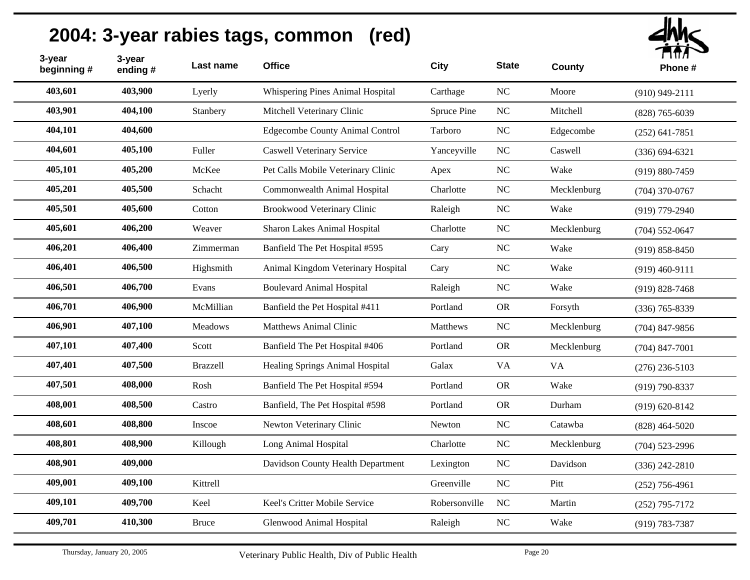| 3-year<br>beginning # | 3-year<br>ending# | Last name       | <b>Office</b>                          | <b>City</b>   | <b>State</b> | <b>County</b> | ГІПЛ<br>Phone#     |
|-----------------------|-------------------|-----------------|----------------------------------------|---------------|--------------|---------------|--------------------|
| 403,601               | 403,900           | Lyerly          | Whispering Pines Animal Hospital       | Carthage      | NC           | Moore         | $(910)$ 949-2111   |
| 403,901               | 404,100           | Stanbery        | Mitchell Veterinary Clinic             | Spruce Pine   | $_{\rm NC}$  | Mitchell      | $(828)$ 765-6039   |
| 404,101               | 404,600           |                 | <b>Edgecombe County Animal Control</b> | Tarboro       | NC           | Edgecombe     | $(252) 641 - 7851$ |
| 404,601               | 405,100           | Fuller          | <b>Caswell Veterinary Service</b>      | Yanceyville   | NC           | Caswell       | $(336) 694 - 6321$ |
| 405,101               | 405,200           | McKee           | Pet Calls Mobile Veterinary Clinic     | Apex          | NC           | Wake          | $(919) 880 - 7459$ |
| 405,201               | 405,500           | Schacht         | Commonwealth Animal Hospital           | Charlotte     | NC           | Mecklenburg   | $(704)$ 370-0767   |
| 405,501               | 405,600           | Cotton          | <b>Brookwood Veterinary Clinic</b>     | Raleigh       | NC           | Wake          | $(919)$ 779-2940   |
| 405,601               | 406,200           | Weaver          | Sharon Lakes Animal Hospital           | Charlotte     | NC           | Mecklenburg   | $(704) 552 - 0647$ |
| 406,201               | 406,400           | Zimmerman       | Banfield The Pet Hospital #595         | Cary          | NC           | Wake          | $(919) 858 - 8450$ |
| 406,401               | 406,500           | Highsmith       | Animal Kingdom Veterinary Hospital     | Cary          | NC           | Wake          | $(919)$ 460-9111   |
| 406,501               | 406,700           | Evans           | <b>Boulevard Animal Hospital</b>       | Raleigh       | NC           | Wake          | $(919) 828 - 7468$ |
| 406,701               | 406,900           | McMillian       | Banfield the Pet Hospital #411         | Portland      | <b>OR</b>    | Forsyth       | $(336)$ 765-8339   |
| 406,901               | 407,100           | Meadows         | <b>Matthews Animal Clinic</b>          | Matthews      | NC           | Mecklenburg   | $(704)$ 847-9856   |
| 407,101               | 407,400           | Scott           | Banfield The Pet Hospital #406         | Portland      | <b>OR</b>    | Mecklenburg   | $(704)$ 847-7001   |
| 407,401               | 407,500           | <b>Brazzell</b> | Healing Springs Animal Hospital        | Galax         | <b>VA</b>    | <b>VA</b>     | $(276)$ 236-5103   |
| 407,501               | 408,000           | Rosh            | Banfield The Pet Hospital #594         | Portland      | <b>OR</b>    | Wake          | $(919) 790 - 8337$ |
| 408,001               | 408,500           | Castro          | Banfield, The Pet Hospital #598        | Portland      | <b>OR</b>    | Durham        | $(919) 620 - 8142$ |
| 408,601               | 408,800           | Inscoe          | Newton Veterinary Clinic               | Newton        | NC           | Catawba       | $(828)$ 464-5020   |
| 408,801               | 408,900           | Killough        | Long Animal Hospital                   | Charlotte     | NC           | Mecklenburg   | $(704)$ 523-2996   |
| 408,901               | 409,000           |                 | Davidson County Health Department      | Lexington     | NC           | Davidson      | $(336)$ 242-2810   |
| 409,001               | 409,100           | Kittrell        |                                        | Greenville    | NC           | Pitt          | $(252)$ 756-4961   |
| 409,101               | 409,700           | Keel            | Keel's Critter Mobile Service          | Robersonville | NC           | Martin        | $(252)$ 795-7172   |
| 409,701               | 410,300           | <b>Bruce</b>    | Glenwood Animal Hospital               | Raleigh       | NC           | Wake          | $(919) 783 - 7387$ |
|                       |                   |                 |                                        |               |              |               |                    |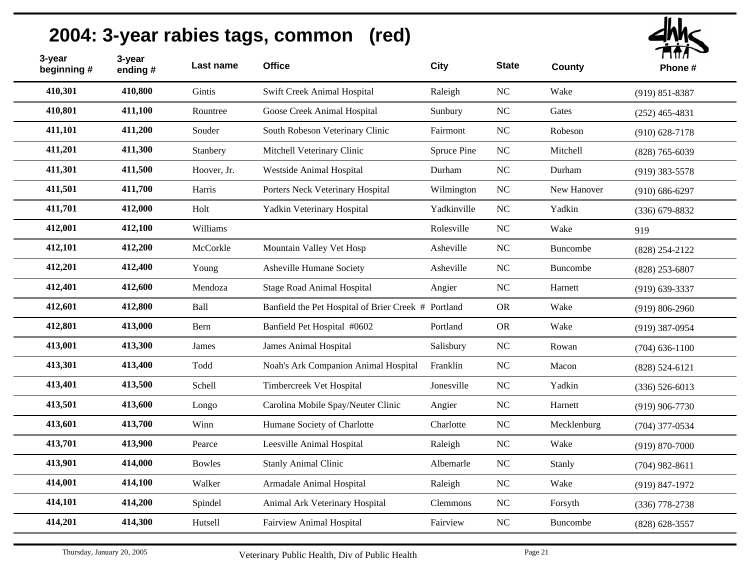| 3-year<br>beginning # | 3-year<br>ending# | Last name     | <b>Office</b>                                       | <b>City</b> | <b>State</b> | County      | ППЛ<br>Phone#      |
|-----------------------|-------------------|---------------|-----------------------------------------------------|-------------|--------------|-------------|--------------------|
| 410,301               | 410,800           | Gintis        | Swift Creek Animal Hospital                         | Raleigh     | $\rm NC$     | Wake        | $(919) 851 - 8387$ |
| 410,801               | 411,100           | Rountree      | Goose Creek Animal Hospital                         | Sunbury     | NC           | Gates       | $(252)$ 465-4831   |
| 411,101               | 411,200           | Souder        | South Robeson Veterinary Clinic                     | Fairmont    | NC           | Robeson     | $(910) 628 - 7178$ |
| 411,201               | 411,300           | Stanbery      | Mitchell Veterinary Clinic                          | Spruce Pine | $\rm NC$     | Mitchell    | $(828)$ 765-6039   |
| 411,301               | 411,500           | Hoover, Jr.   | Westside Animal Hospital                            | Durham      | NC           | Durham      | $(919)$ 383-5578   |
| 411,501               | 411,700           | Harris        | Porters Neck Veterinary Hospital                    | Wilmington  | NC           | New Hanover | $(910) 686 - 6297$ |
| 411,701               | 412,000           | Holt          | Yadkin Veterinary Hospital                          | Yadkinville | NC           | Yadkin      | $(336)$ 679-8832   |
| 412,001               | 412,100           | Williams      |                                                     | Rolesville  | NC           | Wake        | 919                |
| 412,101               | 412,200           | McCorkle      | Mountain Valley Vet Hosp                            | Asheville   | $\rm NC$     | Buncombe    | $(828)$ 254-2122   |
| 412,201               | 412,400           | Young         | Asheville Humane Society                            | Asheville   | NC           | Buncombe    | $(828)$ 253-6807   |
| 412,401               | 412,600           | Mendoza       | <b>Stage Road Animal Hospital</b>                   | Angier      | $\rm NC$     | Harnett     | $(919)$ 639-3337   |
| 412,601               | 412,800           | Ball          | Banfield the Pet Hospital of Brier Creek # Portland |             | <b>OR</b>    | Wake        | $(919) 806 - 2960$ |
| 412,801               | 413,000           | Bern          | Banfield Pet Hospital #0602                         | Portland    | <b>OR</b>    | Wake        | $(919)$ 387-0954   |
| 413,001               | 413,300           | James         | James Animal Hospital                               | Salisbury   | $\rm NC$     | Rowan       | $(704)$ 636-1100   |
| 413,301               | 413,400           | Todd          | Noah's Ark Companion Animal Hospital                | Franklin    | NC           | Macon       | $(828) 524 - 6121$ |
| 413,401               | 413,500           | Schell        | Timbercreek Vet Hospital                            | Jonesville  | $\rm NC$     | Yadkin      | $(336) 526 - 6013$ |
| 413,501               | 413,600           | Longo         | Carolina Mobile Spay/Neuter Clinic                  | Angier      | $\rm NC$     | Harnett     | $(919)$ 906-7730   |
| 413,601               | 413,700           | Winn          | Humane Society of Charlotte                         | Charlotte   | $\rm NC$     | Mecklenburg | $(704)$ 377-0534   |
| 413,701               | 413,900           | Pearce        | Leesville Animal Hospital                           | Raleigh     | $\rm NC$     | Wake        | $(919) 870 - 7000$ |
| 413,901               | 414,000           | <b>Bowles</b> | <b>Stanly Animal Clinic</b>                         | Albemarle   | NC           | Stanly      | $(704)$ 982-8611   |
| 414,001               | 414,100           | Walker        | Armadale Animal Hospital                            | Raleigh     | NC           | Wake        | (919) 847-1972     |
| 414,101               | 414,200           | Spindel       | Animal Ark Veterinary Hospital                      | Clemmons    | NC           | Forsyth     | $(336)$ 778-2738   |
| 414,201               | 414,300           | Hutsell       | Fairview Animal Hospital                            | Fairview    | $\rm NC$     | Buncombe    | $(828) 628 - 3557$ |
|                       |                   |               |                                                     |             |              |             |                    |